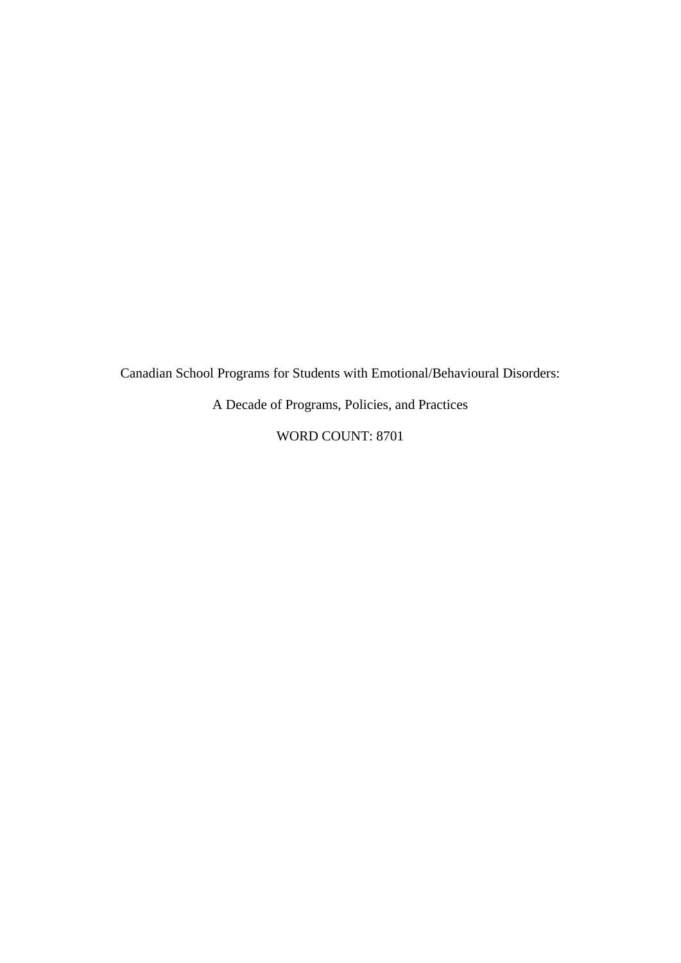Canadian School Programs for Students with Emotional/Behavioural Disorders:

A Decade of Programs, Policies, and Practices

WORD COUNT: 8701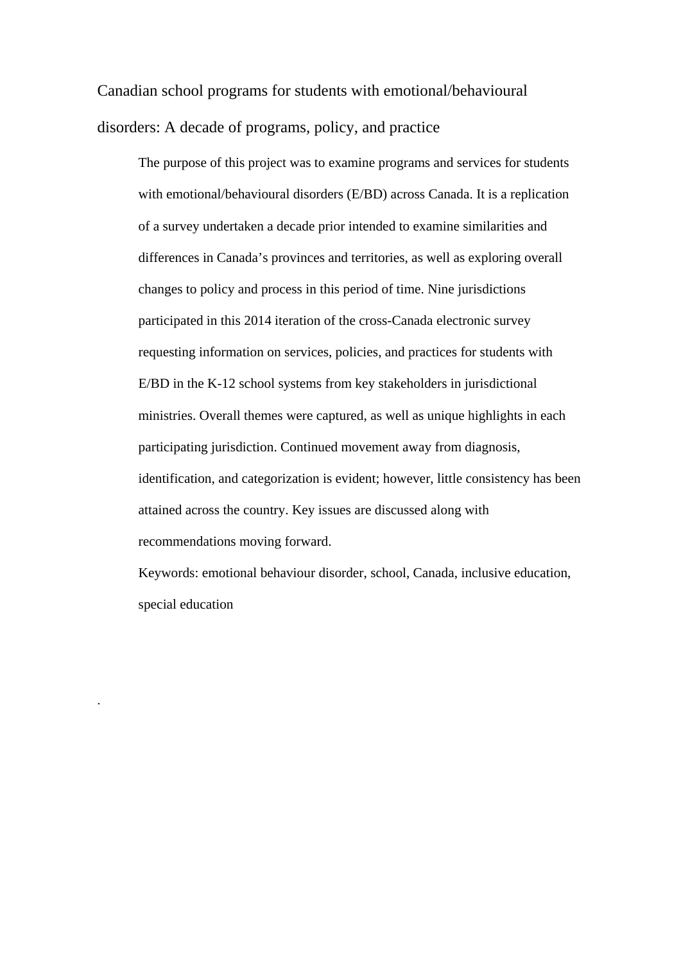Canadian school programs for students with emotional/behavioural disorders: A decade of programs, policy, and practice

The purpose of this project was to examine programs and services for students with emotional/behavioural disorders (E/BD) across Canada. It is a replication of a survey undertaken a decade prior intended to examine similarities and differences in Canada's provinces and territories, as well as exploring overall changes to policy and process in this period of time. Nine jurisdictions participated in this 2014 iteration of the cross-Canada electronic survey requesting information on services, policies, and practices for students with E/BD in the K-12 school systems from key stakeholders in jurisdictional ministries. Overall themes were captured, as well as unique highlights in each participating jurisdiction. Continued movement away from diagnosis, identification, and categorization is evident; however, little consistency has been attained across the country. Key issues are discussed along with recommendations moving forward.

Keywords: emotional behaviour disorder, school, Canada, inclusive education, special education

.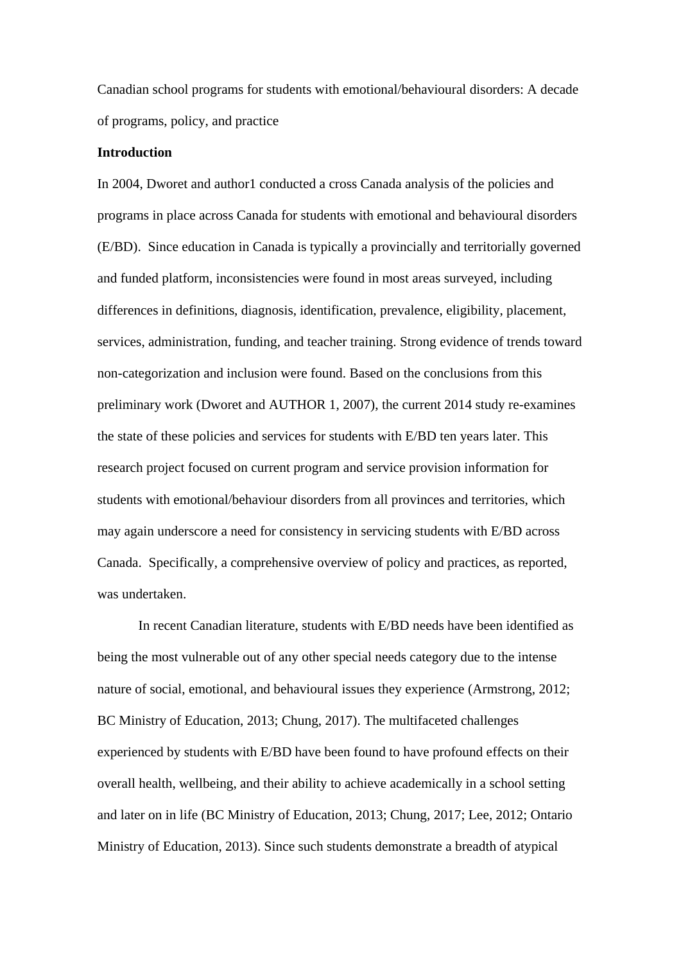Canadian school programs for students with emotional/behavioural disorders: A decade of programs, policy, and practice

#### **Introduction**

In 2004, Dworet and author1 conducted a cross Canada analysis of the policies and programs in place across Canada for students with emotional and behavioural disorders (E/BD). Since education in Canada is typically a provincially and territorially governed and funded platform, inconsistencies were found in most areas surveyed, including differences in definitions, diagnosis, identification, prevalence, eligibility, placement, services, administration, funding, and teacher training. Strong evidence of trends toward non-categorization and inclusion were found. Based on the conclusions from this preliminary work (Dworet and AUTHOR 1, 2007), the current 2014 study re-examines the state of these policies and services for students with E/BD ten years later. This research project focused on current program and service provision information for students with emotional/behaviour disorders from all provinces and territories, which may again underscore a need for consistency in servicing students with E/BD across Canada. Specifically, a comprehensive overview of policy and practices, as reported, was undertaken.

In recent Canadian literature, students with E/BD needs have been identified as being the most vulnerable out of any other special needs category due to the intense nature of social, emotional, and behavioural issues they experience (Armstrong, 2012; BC Ministry of Education, 2013; Chung, 2017). The multifaceted challenges experienced by students with E/BD have been found to have profound effects on their overall health, wellbeing, and their ability to achieve academically in a school setting and later on in life (BC Ministry of Education, 2013; Chung, 2017; Lee, 2012; Ontario Ministry of Education, 2013). Since such students demonstrate a breadth of atypical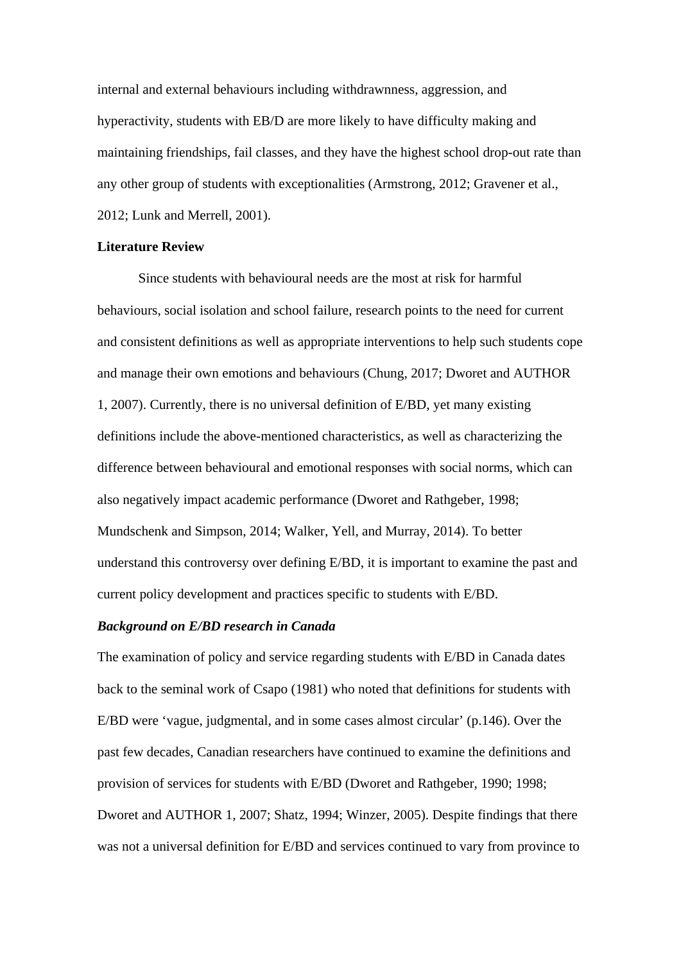internal and external behaviours including withdrawnness, aggression, and hyperactivity, students with EB/D are more likely to have difficulty making and maintaining friendships, fail classes, and they have the highest school drop-out rate than any other group of students with exceptionalities (Armstrong, 2012; Gravener et al., 2012; Lunk and Merrell, 2001).

### **Literature Review**

Since students with behavioural needs are the most at risk for harmful behaviours, social isolation and school failure, research points to the need for current and consistent definitions as well as appropriate interventions to help such students cope and manage their own emotions and behaviours (Chung, 2017; Dworet and AUTHOR 1, 2007). Currently, there is no universal definition of E/BD, yet many existing definitions include the above-mentioned characteristics, as well as characterizing the difference between behavioural and emotional responses with social norms, which can also negatively impact academic performance (Dworet and Rathgeber, 1998; Mundschenk and Simpson, 2014; Walker, Yell, and Murray, 2014). To better understand this controversy over defining E/BD, it is important to examine the past and current policy development and practices specific to students with E/BD.

### *Background on E/BD research in Canada*

The examination of policy and service regarding students with E/BD in Canada dates back to the seminal work of Csapo (1981) who noted that definitions for students with E/BD were 'vague, judgmental, and in some cases almost circular' (p.146). Over the past few decades, Canadian researchers have continued to examine the definitions and provision of services for students with E/BD (Dworet and Rathgeber, 1990; 1998; Dworet and AUTHOR 1, 2007; Shatz, 1994; Winzer, 2005). Despite findings that there was not a universal definition for E/BD and services continued to vary from province to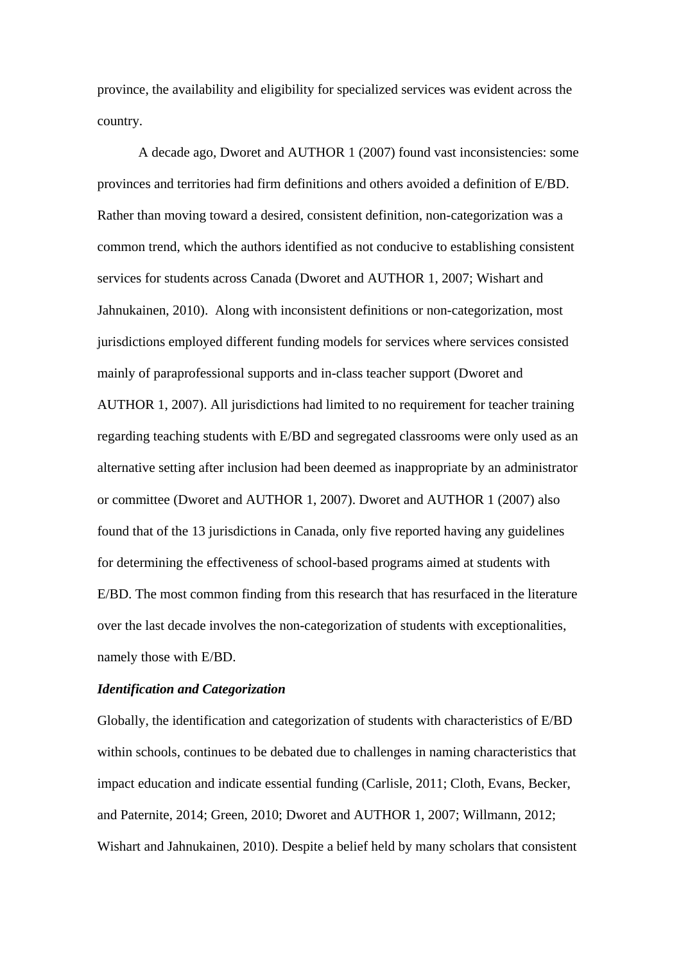province, the availability and eligibility for specialized services was evident across the country.

A decade ago, Dworet and AUTHOR 1 (2007) found vast inconsistencies: some provinces and territories had firm definitions and others avoided a definition of E/BD. Rather than moving toward a desired, consistent definition, non-categorization was a common trend, which the authors identified as not conducive to establishing consistent services for students across Canada (Dworet and AUTHOR 1, 2007; Wishart and Jahnukainen, 2010). Along with inconsistent definitions or non-categorization, most jurisdictions employed different funding models for services where services consisted mainly of paraprofessional supports and in-class teacher support (Dworet and AUTHOR 1, 2007). All jurisdictions had limited to no requirement for teacher training regarding teaching students with E/BD and segregated classrooms were only used as an alternative setting after inclusion had been deemed as inappropriate by an administrator or committee (Dworet and AUTHOR 1, 2007). Dworet and AUTHOR 1 (2007) also found that of the 13 jurisdictions in Canada, only five reported having any guidelines for determining the effectiveness of school-based programs aimed at students with E/BD. The most common finding from this research that has resurfaced in the literature over the last decade involves the non-categorization of students with exceptionalities, namely those with E/BD.

### *Identification and Categorization*

Globally, the identification and categorization of students with characteristics of E/BD within schools, continues to be debated due to challenges in naming characteristics that impact education and indicate essential funding (Carlisle, 2011; Cloth, Evans, Becker, and Paternite, 2014; Green, 2010; Dworet and AUTHOR 1, 2007; Willmann, 2012; Wishart and Jahnukainen, 2010). Despite a belief held by many scholars that consistent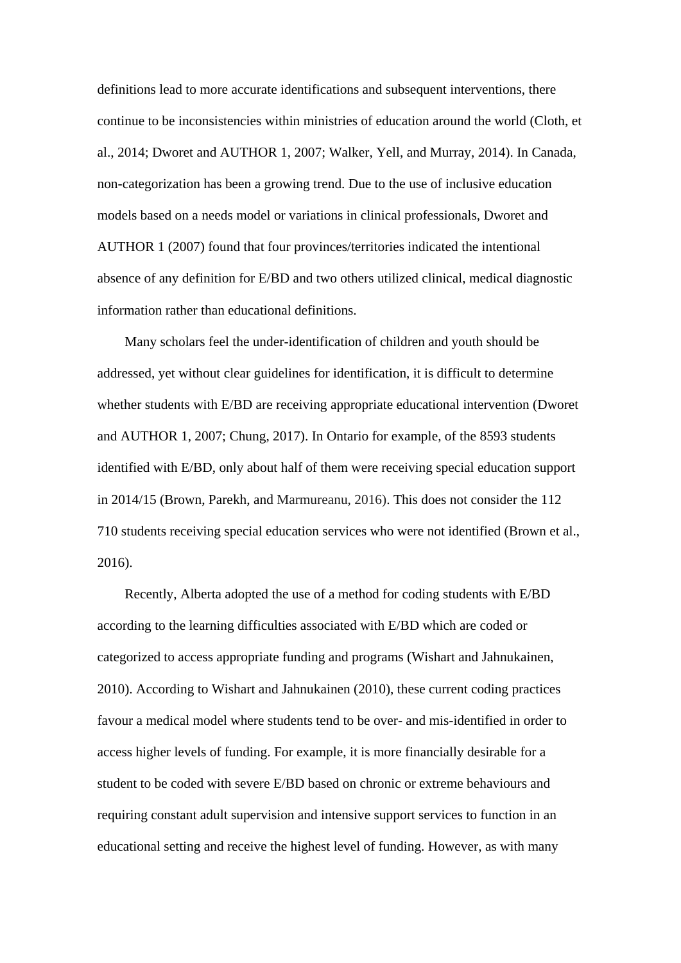definitions lead to more accurate identifications and subsequent interventions, there continue to be inconsistencies within ministries of education around the world (Cloth, et al., 2014; Dworet and AUTHOR 1, 2007; Walker, Yell, and Murray, 2014). In Canada, non-categorization has been a growing trend. Due to the use of inclusive education models based on a needs model or variations in clinical professionals, Dworet and AUTHOR 1 (2007) found that four provinces/territories indicated the intentional absence of any definition for E/BD and two others utilized clinical, medical diagnostic information rather than educational definitions.

Many scholars feel the under-identification of children and youth should be addressed, yet without clear guidelines for identification, it is difficult to determine whether students with E/BD are receiving appropriate educational intervention (Dworet and AUTHOR 1, 2007; Chung, 2017). In Ontario for example, of the 8593 students identified with E/BD, only about half of them were receiving special education support in 2014/15 (Brown, Parekh, and Marmureanu, 2016). This does not consider the 112 710 students receiving special education services who were not identified (Brown et al., 2016).

Recently, Alberta adopted the use of a method for coding students with E/BD according to the learning difficulties associated with E/BD which are coded or categorized to access appropriate funding and programs (Wishart and Jahnukainen, 2010). According to Wishart and Jahnukainen (2010), these current coding practices favour a medical model where students tend to be over- and mis-identified in order to access higher levels of funding. For example, it is more financially desirable for a student to be coded with severe E/BD based on chronic or extreme behaviours and requiring constant adult supervision and intensive support services to function in an educational setting and receive the highest level of funding. However, as with many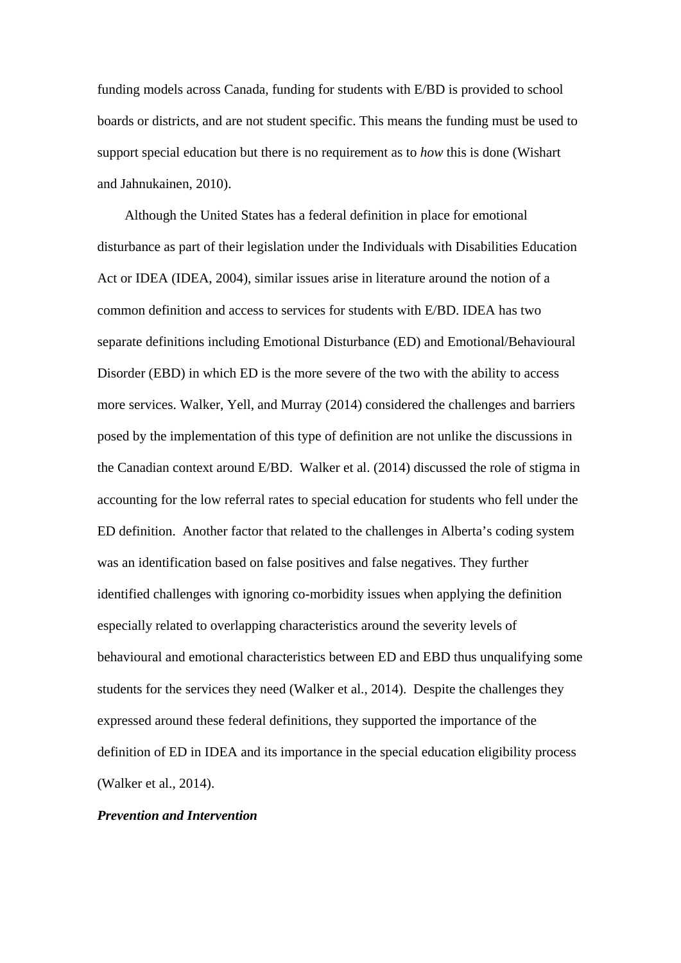funding models across Canada, funding for students with E/BD is provided to school boards or districts, and are not student specific. This means the funding must be used to support special education but there is no requirement as to *how* this is done (Wishart and Jahnukainen, 2010).

Although the United States has a federal definition in place for emotional disturbance as part of their legislation under the Individuals with Disabilities Education Act or IDEA (IDEA, 2004), similar issues arise in literature around the notion of a common definition and access to services for students with E/BD. IDEA has two separate definitions including Emotional Disturbance (ED) and Emotional/Behavioural Disorder (EBD) in which ED is the more severe of the two with the ability to access more services. Walker, Yell, and Murray (2014) considered the challenges and barriers posed by the implementation of this type of definition are not unlike the discussions in the Canadian context around E/BD. Walker et al. (2014) discussed the role of stigma in accounting for the low referral rates to special education for students who fell under the ED definition. Another factor that related to the challenges in Alberta's coding system was an identification based on false positives and false negatives. They further identified challenges with ignoring co-morbidity issues when applying the definition especially related to overlapping characteristics around the severity levels of behavioural and emotional characteristics between ED and EBD thus unqualifying some students for the services they need (Walker et al., 2014). Despite the challenges they expressed around these federal definitions, they supported the importance of the definition of ED in IDEA and its importance in the special education eligibility process (Walker et al., 2014).

### *Prevention and Intervention*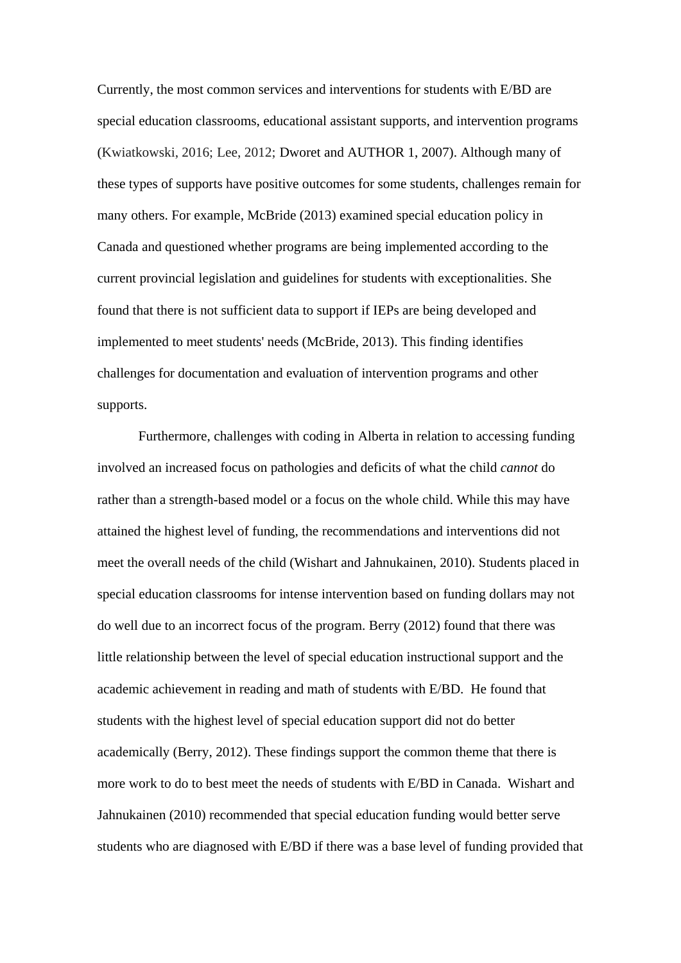Currently, the most common services and interventions for students with E/BD are special education classrooms, educational assistant supports, and intervention programs (Kwiatkowski, 2016; Lee, 2012; Dworet and AUTHOR 1, 2007). Although many of these types of supports have positive outcomes for some students, challenges remain for many others. For example, McBride (2013) examined special education policy in Canada and questioned whether programs are being implemented according to the current provincial legislation and guidelines for students with exceptionalities. She found that there is not sufficient data to support if IEPs are being developed and implemented to meet students' needs (McBride, 2013). This finding identifies challenges for documentation and evaluation of intervention programs and other supports.

Furthermore, challenges with coding in Alberta in relation to accessing funding involved an increased focus on pathologies and deficits of what the child *cannot* do rather than a strength-based model or a focus on the whole child. While this may have attained the highest level of funding, the recommendations and interventions did not meet the overall needs of the child (Wishart and Jahnukainen, 2010). Students placed in special education classrooms for intense intervention based on funding dollars may not do well due to an incorrect focus of the program. Berry (2012) found that there was little relationship between the level of special education instructional support and the academic achievement in reading and math of students with E/BD. He found that students with the highest level of special education support did not do better academically (Berry, 2012). These findings support the common theme that there is more work to do to best meet the needs of students with E/BD in Canada. Wishart and Jahnukainen (2010) recommended that special education funding would better serve students who are diagnosed with E/BD if there was a base level of funding provided that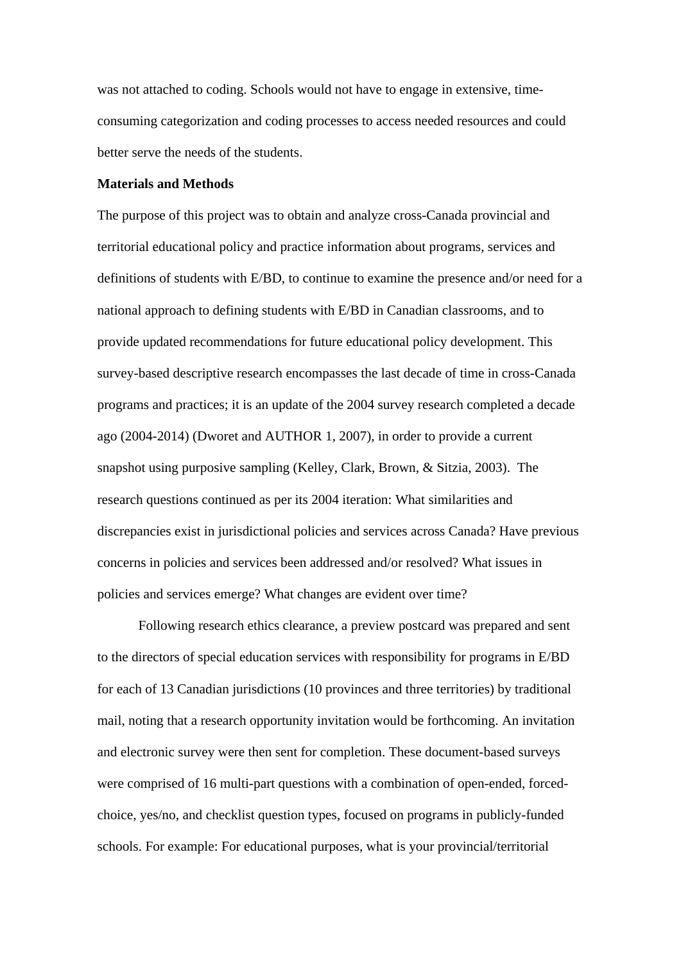was not attached to coding. Schools would not have to engage in extensive, timeconsuming categorization and coding processes to access needed resources and could better serve the needs of the students.

## **Materials and Methods**

The purpose of this project was to obtain and analyze cross-Canada provincial and territorial educational policy and practice information about programs, services and definitions of students with E/BD, to continue to examine the presence and/or need for a national approach to defining students with E/BD in Canadian classrooms, and to provide updated recommendations for future educational policy development. This survey-based descriptive research encompasses the last decade of time in cross-Canada programs and practices; it is an update of the 2004 survey research completed a decade ago (2004-2014) (Dworet and AUTHOR 1, 2007), in order to provide a current snapshot using purposive sampling (Kelley, Clark, Brown, & Sitzia, 2003). The research questions continued as per its 2004 iteration: What similarities and discrepancies exist in jurisdictional policies and services across Canada? Have previous concerns in policies and services been addressed and/or resolved? What issues in policies and services emerge? What changes are evident over time?

Following research ethics clearance, a preview postcard was prepared and sent to the directors of special education services with responsibility for programs in E/BD for each of 13 Canadian jurisdictions (10 provinces and three territories) by traditional mail, noting that a research opportunity invitation would be forthcoming. An invitation and electronic survey were then sent for completion. These document-based surveys were comprised of 16 multi-part questions with a combination of open-ended, forcedchoice, yes/no, and checklist question types, focused on programs in publicly-funded schools. For example: For educational purposes, what is your provincial/territorial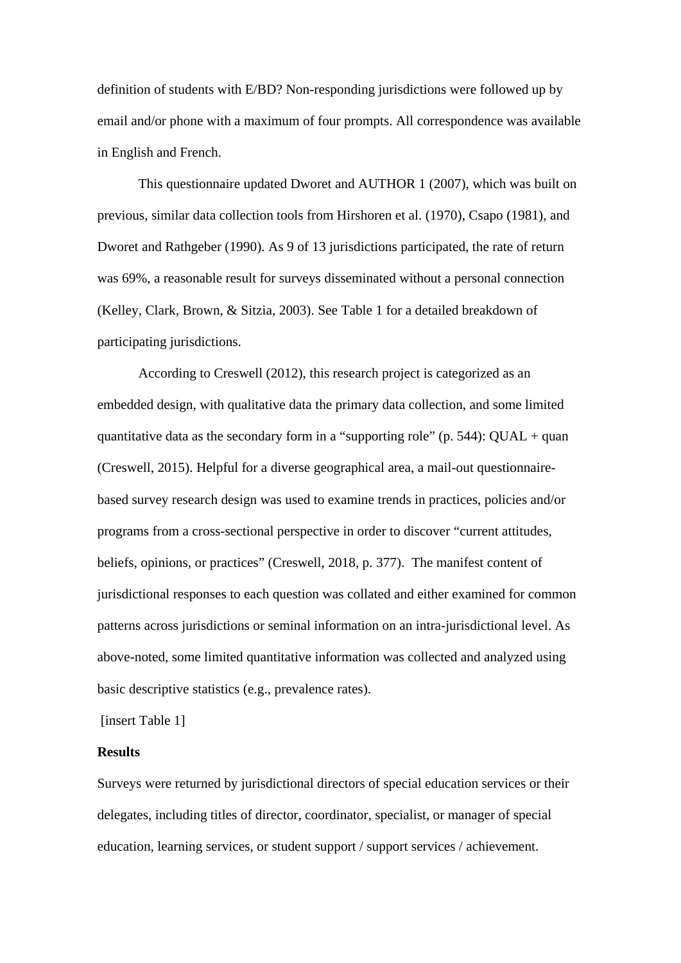definition of students with E/BD? Non-responding jurisdictions were followed up by email and/or phone with a maximum of four prompts. All correspondence was available in English and French.

This questionnaire updated Dworet and AUTHOR 1 (2007), which was built on previous, similar data collection tools from Hirshoren et al. (1970), Csapo (1981), and Dworet and Rathgeber (1990). As 9 of 13 jurisdictions participated, the rate of return was 69%, a reasonable result for surveys disseminated without a personal connection (Kelley, Clark, Brown, & Sitzia, 2003). See Table 1 for a detailed breakdown of participating jurisdictions.

According to Creswell (2012), this research project is categorized as an embedded design, with qualitative data the primary data collection, and some limited quantitative data as the secondary form in a "supporting role" (p. 544): QUAL + quan (Creswell, 2015). Helpful for a diverse geographical area, a mail-out questionnairebased survey research design was used to examine trends in practices, policies and/or programs from a cross-sectional perspective in order to discover "current attitudes, beliefs, opinions, or practices" (Creswell, 2018, p. 377). The manifest content of jurisdictional responses to each question was collated and either examined for common patterns across jurisdictions or seminal information on an intra-jurisdictional level. As above-noted, some limited quantitative information was collected and analyzed using basic descriptive statistics (e.g., prevalence rates).

[insert Table 1]

#### **Results**

Surveys were returned by jurisdictional directors of special education services or their delegates, including titles of director, coordinator, specialist, or manager of special education, learning services, or student support / support services / achievement.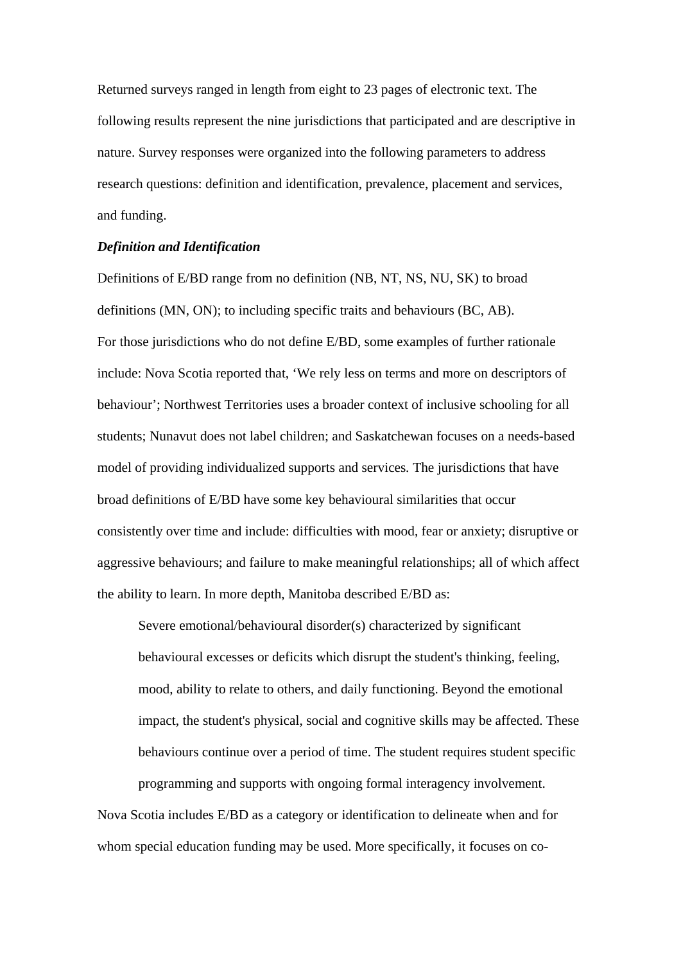Returned surveys ranged in length from eight to 23 pages of electronic text. The following results represent the nine jurisdictions that participated and are descriptive in nature. Survey responses were organized into the following parameters to address research questions: definition and identification, prevalence, placement and services, and funding.

#### *Definition and Identification*

Definitions of E/BD range from no definition (NB, NT, NS, NU, SK) to broad definitions (MN, ON); to including specific traits and behaviours (BC, AB). For those jurisdictions who do not define E/BD, some examples of further rationale include: Nova Scotia reported that, 'We rely less on terms and more on descriptors of behaviour'; Northwest Territories uses a broader context of inclusive schooling for all students; Nunavut does not label children; and Saskatchewan focuses on a needs-based model of providing individualized supports and services*.* The jurisdictions that have broad definitions of E/BD have some key behavioural similarities that occur consistently over time and include: difficulties with mood, fear or anxiety; disruptive or aggressive behaviours; and failure to make meaningful relationships; all of which affect the ability to learn. In more depth, Manitoba described E/BD as:

Severe emotional/behavioural disorder(s) characterized by significant behavioural excesses or deficits which disrupt the student's thinking, feeling, mood, ability to relate to others, and daily functioning. Beyond the emotional impact, the student's physical, social and cognitive skills may be affected. These behaviours continue over a period of time. The student requires student specific programming and supports with ongoing formal interagency involvement.

Nova Scotia includes E/BD as a category or identification to delineate when and for whom special education funding may be used. More specifically, it focuses on co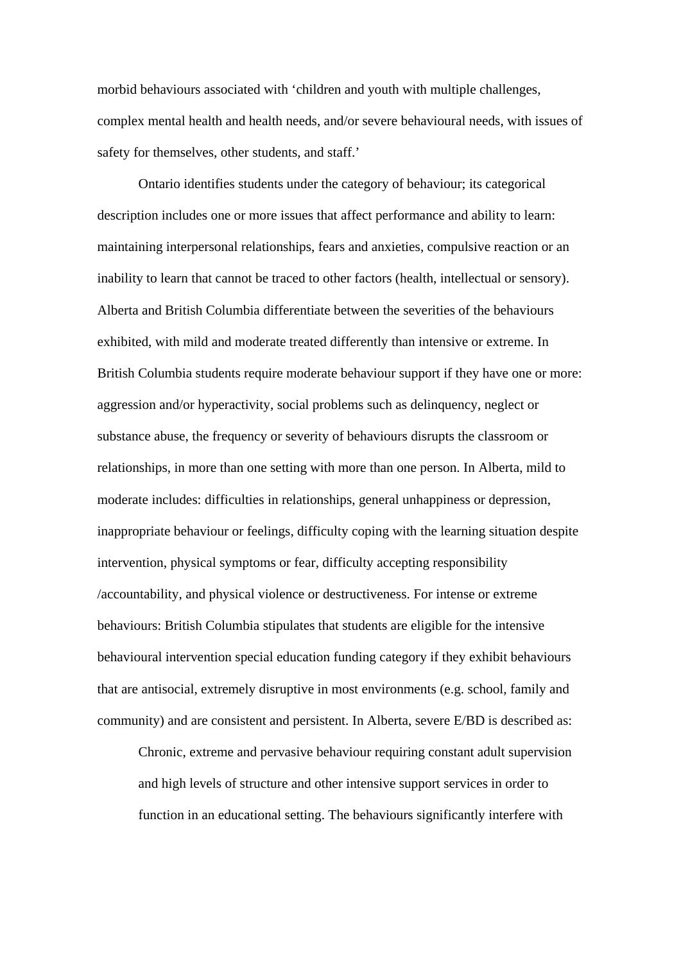morbid behaviours associated with 'children and youth with multiple challenges, complex mental health and health needs, and/or severe behavioural needs, with issues of safety for themselves, other students, and staff.'

Ontario identifies students under the category of behaviour; its categorical description includes one or more issues that affect performance and ability to learn: maintaining interpersonal relationships, fears and anxieties, compulsive reaction or an inability to learn that cannot be traced to other factors (health, intellectual or sensory). Alberta and British Columbia differentiate between the severities of the behaviours exhibited, with mild and moderate treated differently than intensive or extreme. In British Columbia students require moderate behaviour support if they have one or more: aggression and/or hyperactivity, social problems such as delinquency, neglect or substance abuse, the frequency or severity of behaviours disrupts the classroom or relationships, in more than one setting with more than one person. In Alberta, mild to moderate includes: difficulties in relationships, general unhappiness or depression, inappropriate behaviour or feelings, difficulty coping with the learning situation despite intervention, physical symptoms or fear, difficulty accepting responsibility /accountability, and physical violence or destructiveness. For intense or extreme behaviours: British Columbia stipulates that students are eligible for the intensive behavioural intervention special education funding category if they exhibit behaviours that are antisocial, extremely disruptive in most environments (e.g. school, family and community) and are consistent and persistent. In Alberta, severe E/BD is described as:

Chronic, extreme and pervasive behaviour requiring constant adult supervision and high levels of structure and other intensive support services in order to function in an educational setting. The behaviours significantly interfere with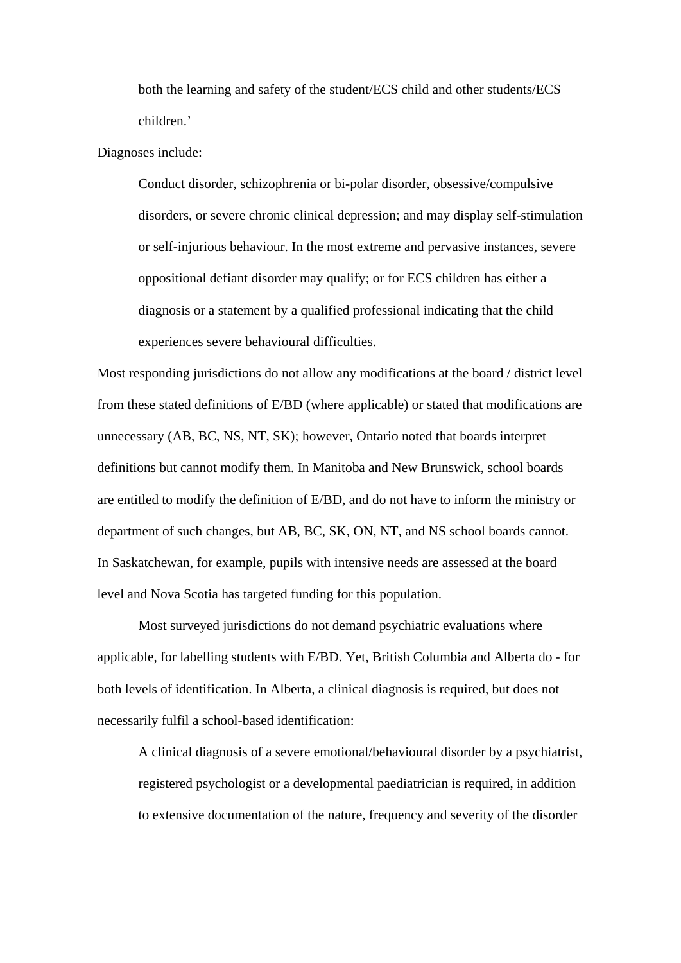both the learning and safety of the student/ECS child and other students/ECS children.'

Diagnoses include:

Conduct disorder, schizophrenia or bi-polar disorder, obsessive/compulsive disorders, or severe chronic clinical depression; and may display self-stimulation or self-injurious behaviour. In the most extreme and pervasive instances, severe oppositional defiant disorder may qualify; or for ECS children has either a diagnosis or a statement by a qualified professional indicating that the child experiences severe behavioural difficulties.

Most responding jurisdictions do not allow any modifications at the board / district level from these stated definitions of E/BD (where applicable) or stated that modifications are unnecessary (AB, BC, NS, NT, SK); however, Ontario noted that boards interpret definitions but cannot modify them. In Manitoba and New Brunswick, school boards are entitled to modify the definition of E/BD, and do not have to inform the ministry or department of such changes, but AB, BC, SK, ON, NT, and NS school boards cannot. In Saskatchewan, for example, pupils with intensive needs are assessed at the board level and Nova Scotia has targeted funding for this population.

Most surveyed jurisdictions do not demand psychiatric evaluations where applicable, for labelling students with E/BD. Yet, British Columbia and Alberta do - for both levels of identification. In Alberta, a clinical diagnosis is required, but does not necessarily fulfil a school-based identification:

 A clinical diagnosis of a severe emotional/behavioural disorder by a psychiatrist, registered psychologist or a developmental paediatrician is required, in addition to extensive documentation of the nature, frequency and severity of the disorder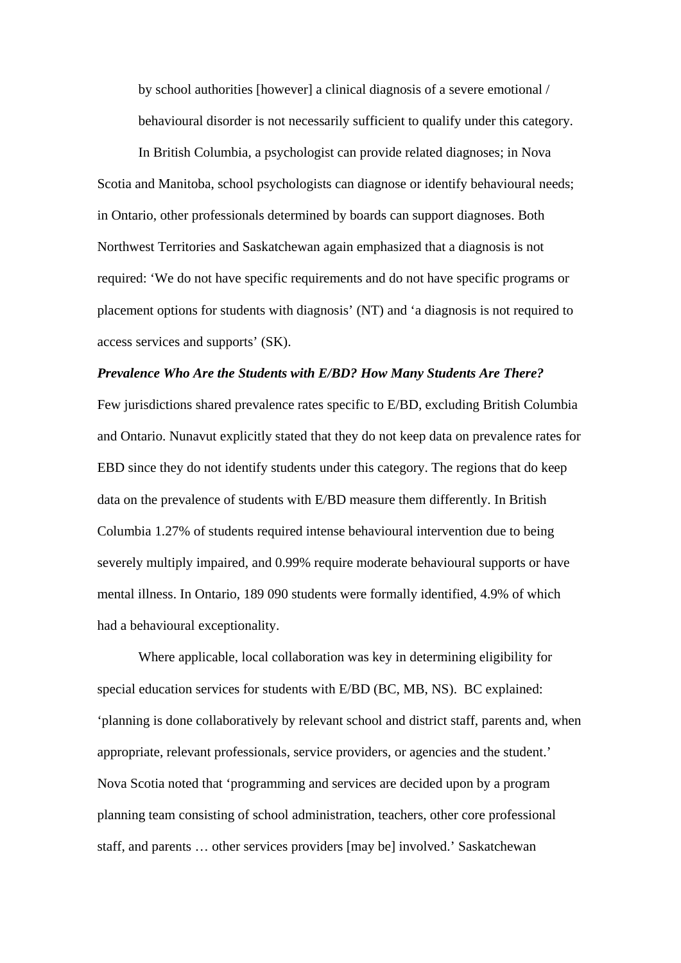by school authorities [however] a clinical diagnosis of a severe emotional / behavioural disorder is not necessarily sufficient to qualify under this category.

In British Columbia, a psychologist can provide related diagnoses; in Nova Scotia and Manitoba, school psychologists can diagnose or identify behavioural needs; in Ontario, other professionals determined by boards can support diagnoses. Both Northwest Territories and Saskatchewan again emphasized that a diagnosis is not required: 'We do not have specific requirements and do not have specific programs or placement options for students with diagnosis' (NT) and 'a diagnosis is not required to access services and supports' (SK).

# *Prevalence Who Are the Students with E/BD? How Many Students Are There?*

Few jurisdictions shared prevalence rates specific to E/BD, excluding British Columbia and Ontario. Nunavut explicitly stated that they do not keep data on prevalence rates for EBD since they do not identify students under this category. The regions that do keep data on the prevalence of students with E/BD measure them differently. In British Columbia 1.27% of students required intense behavioural intervention due to being severely multiply impaired, and 0.99% require moderate behavioural supports or have mental illness. In Ontario, 189 090 students were formally identified, 4.9% of which had a behavioural exceptionality.

Where applicable, local collaboration was key in determining eligibility for special education services for students with E/BD (BC, MB, NS). BC explained: 'planning is done collaboratively by relevant school and district staff, parents and, when appropriate, relevant professionals, service providers, or agencies and the student.' Nova Scotia noted that 'programming and services are decided upon by a program planning team consisting of school administration, teachers, other core professional staff, and parents … other services providers [may be] involved.' Saskatchewan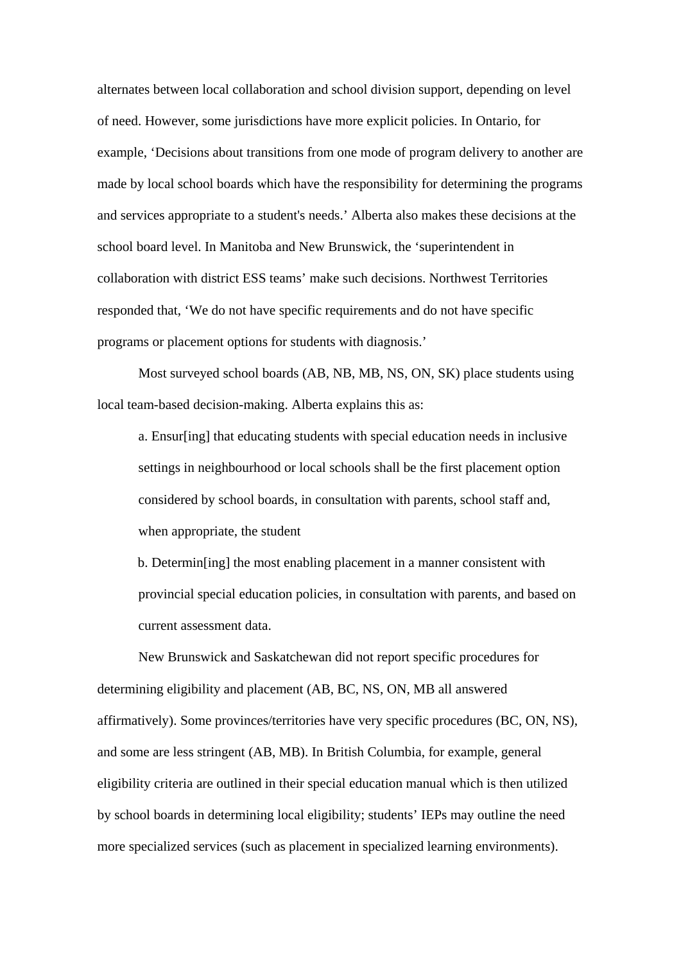alternates between local collaboration and school division support, depending on level of need. However, some jurisdictions have more explicit policies. In Ontario, for example, 'Decisions about transitions from one mode of program delivery to another are made by local school boards which have the responsibility for determining the programs and services appropriate to a student's needs.' Alberta also makes these decisions at the school board level. In Manitoba and New Brunswick, the 'superintendent in collaboration with district ESS teams' make such decisions. Northwest Territories responded that, 'We do not have specific requirements and do not have specific programs or placement options for students with diagnosis.'

Most surveyed school boards (AB, NB, MB, NS, ON, SK) place students using local team-based decision-making. Alberta explains this as:

a. Ensur[ing] that educating students with special education needs in inclusive settings in neighbourhood or local schools shall be the first placement option considered by school boards, in consultation with parents, school staff and, when appropriate, the student

b. Determin[ing] the most enabling placement in a manner consistent with provincial special education policies, in consultation with parents, and based on current assessment data.

New Brunswick and Saskatchewan did not report specific procedures for determining eligibility and placement (AB, BC, NS, ON, MB all answered affirmatively). Some provinces/territories have very specific procedures (BC, ON, NS), and some are less stringent (AB, MB). In British Columbia, for example, general eligibility criteria are outlined in their special education manual which is then utilized by school boards in determining local eligibility; students' IEPs may outline the need more specialized services (such as placement in specialized learning environments).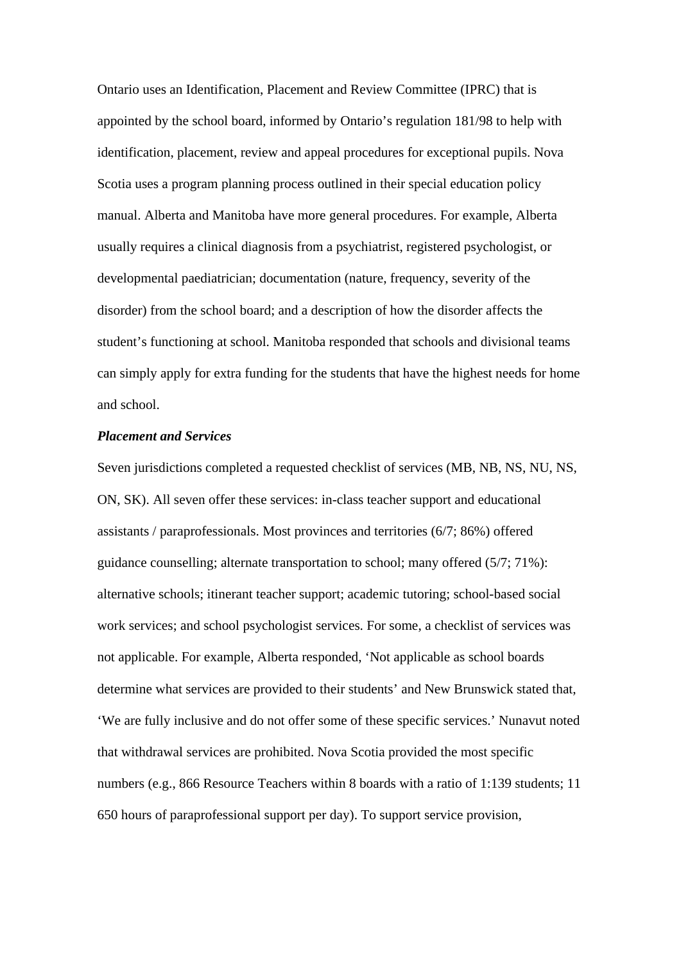Ontario uses an Identification, Placement and Review Committee (IPRC) that is appointed by the school board, informed by Ontario's regulation 181/98 to help with identification, placement, review and appeal procedures for exceptional pupils. Nova Scotia uses a program planning process outlined in their special education policy manual. Alberta and Manitoba have more general procedures. For example, Alberta usually requires a clinical diagnosis from a psychiatrist, registered psychologist, or developmental paediatrician; documentation (nature, frequency, severity of the disorder) from the school board; and a description of how the disorder affects the student's functioning at school. Manitoba responded that schools and divisional teams can simply apply for extra funding for the students that have the highest needs for home and school.

#### *Placement and Services*

Seven jurisdictions completed a requested checklist of services (MB, NB, NS, NU, NS, ON, SK). All seven offer these services: in-class teacher support and educational assistants / paraprofessionals. Most provinces and territories (6/7; 86%) offered guidance counselling; alternate transportation to school; many offered (5/7; 71%): alternative schools; itinerant teacher support; academic tutoring; school-based social work services; and school psychologist services. For some, a checklist of services was not applicable. For example, Alberta responded, 'Not applicable as school boards determine what services are provided to their students' and New Brunswick stated that, 'We are fully inclusive and do not offer some of these specific services.' Nunavut noted that withdrawal services are prohibited. Nova Scotia provided the most specific numbers (e.g., 866 Resource Teachers within 8 boards with a ratio of 1:139 students; 11 650 hours of paraprofessional support per day). To support service provision,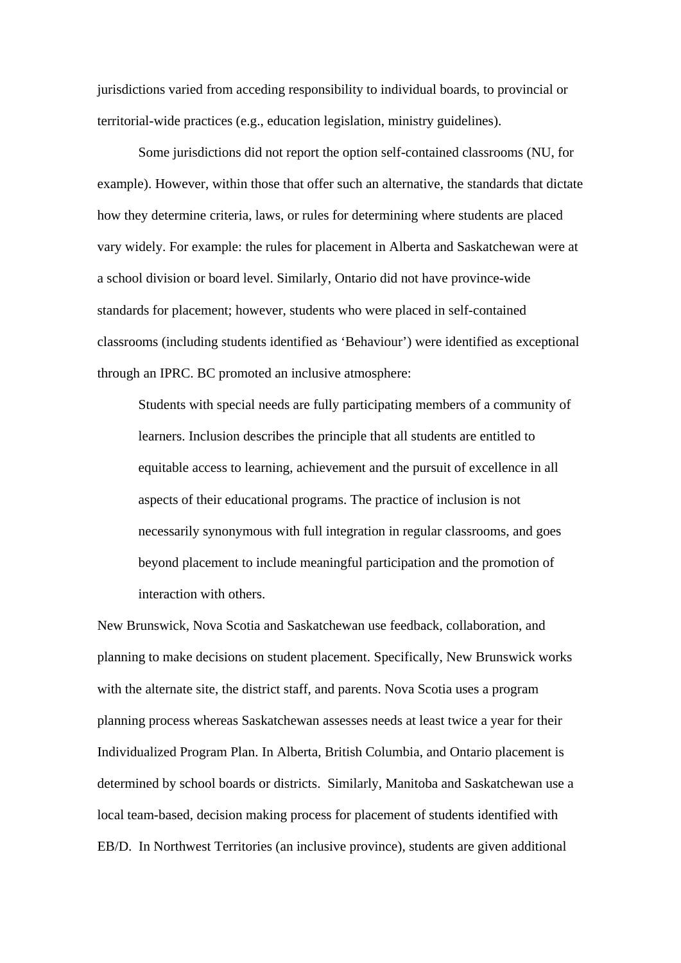jurisdictions varied from acceding responsibility to individual boards, to provincial or territorial-wide practices (e.g., education legislation, ministry guidelines).

Some jurisdictions did not report the option self-contained classrooms (NU, for example). However, within those that offer such an alternative, the standards that dictate how they determine criteria, laws, or rules for determining where students are placed vary widely. For example: the rules for placement in Alberta and Saskatchewan were at a school division or board level. Similarly, Ontario did not have province-wide standards for placement; however, students who were placed in self-contained classrooms (including students identified as 'Behaviour') were identified as exceptional through an IPRC. BC promoted an inclusive atmosphere:

Students with special needs are fully participating members of a community of learners. Inclusion describes the principle that all students are entitled to equitable access to learning, achievement and the pursuit of excellence in all aspects of their educational programs. The practice of inclusion is not necessarily synonymous with full integration in regular classrooms, and goes beyond placement to include meaningful participation and the promotion of interaction with others.

New Brunswick, Nova Scotia and Saskatchewan use feedback, collaboration, and planning to make decisions on student placement. Specifically, New Brunswick works with the alternate site, the district staff, and parents. Nova Scotia uses a program planning process whereas Saskatchewan assesses needs at least twice a year for their Individualized Program Plan. In Alberta, British Columbia, and Ontario placement is determined by school boards or districts. Similarly, Manitoba and Saskatchewan use a local team-based, decision making process for placement of students identified with EB/D. In Northwest Territories (an inclusive province), students are given additional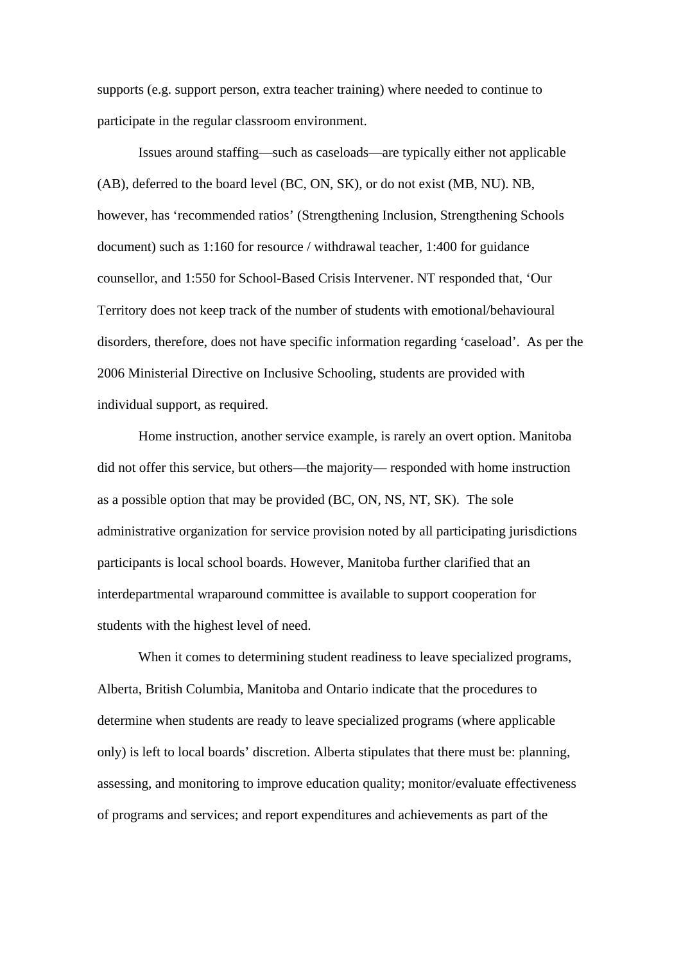supports (e.g. support person, extra teacher training) where needed to continue to participate in the regular classroom environment.

Issues around staffing—such as caseloads—are typically either not applicable (AB), deferred to the board level (BC, ON, SK), or do not exist (MB, NU). NB, however, has 'recommended ratios' (Strengthening Inclusion, Strengthening Schools document) such as 1:160 for resource / withdrawal teacher, 1:400 for guidance counsellor, and 1:550 for School-Based Crisis Intervener. NT responded that, 'Our Territory does not keep track of the number of students with emotional/behavioural disorders, therefore, does not have specific information regarding 'caseload'. As per the 2006 Ministerial Directive on Inclusive Schooling, students are provided with individual support, as required.

Home instruction, another service example, is rarely an overt option. Manitoba did not offer this service, but others—the majority— responded with home instruction as a possible option that may be provided (BC, ON, NS, NT, SK). The sole administrative organization for service provision noted by all participating jurisdictions participants is local school boards. However, Manitoba further clarified that an interdepartmental wraparound committee is available to support cooperation for students with the highest level of need.

When it comes to determining student readiness to leave specialized programs, Alberta, British Columbia, Manitoba and Ontario indicate that the procedures to determine when students are ready to leave specialized programs (where applicable only) is left to local boards' discretion. Alberta stipulates that there must be: planning, assessing, and monitoring to improve education quality; monitor/evaluate effectiveness of programs and services; and report expenditures and achievements as part of the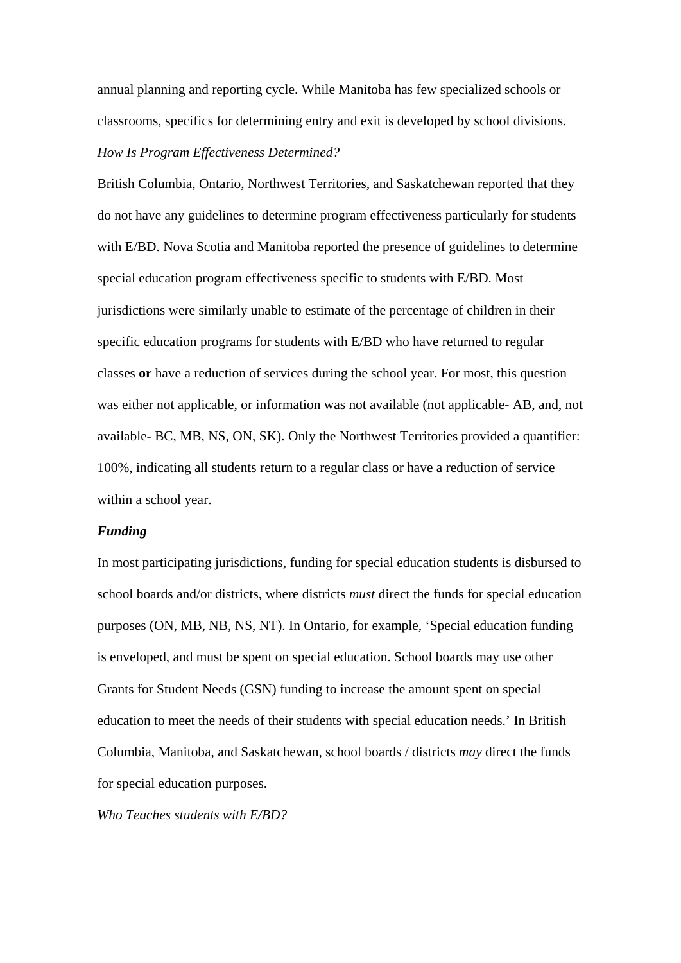annual planning and reporting cycle. While Manitoba has few specialized schools or classrooms, specifics for determining entry and exit is developed by school divisions. *How Is Program Effectiveness Determined?* 

British Columbia, Ontario, Northwest Territories, and Saskatchewan reported that they do not have any guidelines to determine program effectiveness particularly for students with E/BD. Nova Scotia and Manitoba reported the presence of guidelines to determine special education program effectiveness specific to students with E/BD. Most jurisdictions were similarly unable to estimate of the percentage of children in their specific education programs for students with E/BD who have returned to regular classes **or** have a reduction of services during the school year. For most, this question was either not applicable, or information was not available (not applicable- AB, and, not available- BC, MB, NS, ON, SK). Only the Northwest Territories provided a quantifier: 100%, indicating all students return to a regular class or have a reduction of service within a school year.

#### *Funding*

In most participating jurisdictions, funding for special education students is disbursed to school boards and/or districts, where districts *must* direct the funds for special education purposes (ON, MB, NB, NS, NT). In Ontario, for example, 'Special education funding is enveloped, and must be spent on special education. School boards may use other Grants for Student Needs (GSN) funding to increase the amount spent on special education to meet the needs of their students with special education needs.' In British Columbia, Manitoba, and Saskatchewan, school boards / districts *may* direct the funds for special education purposes.

*Who Teaches students with E/BD?*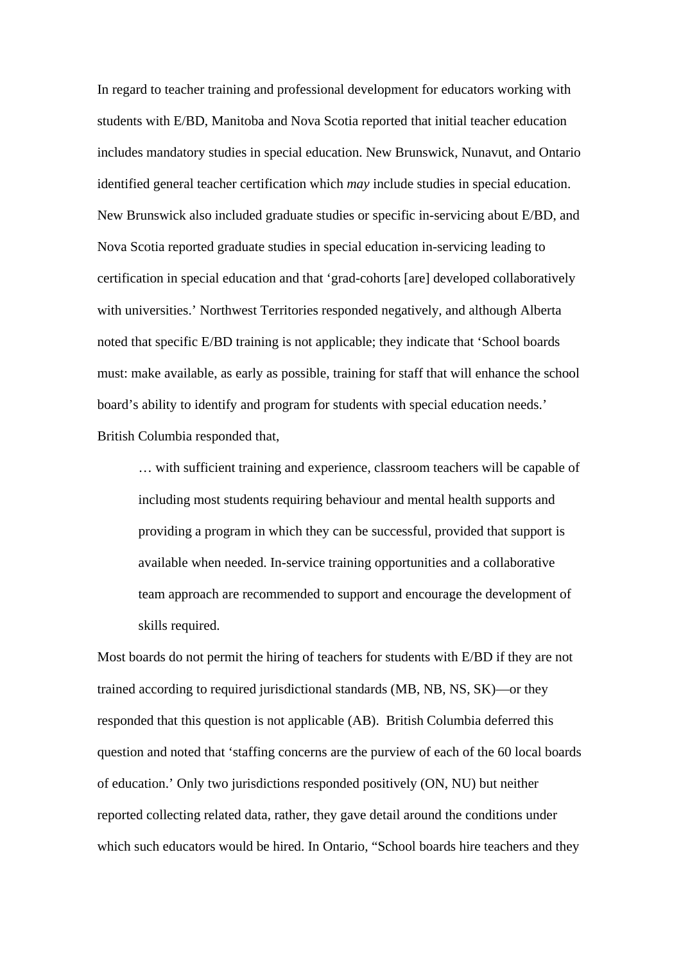In regard to teacher training and professional development for educators working with students with E/BD, Manitoba and Nova Scotia reported that initial teacher education includes mandatory studies in special education. New Brunswick, Nunavut, and Ontario identified general teacher certification which *may* include studies in special education. New Brunswick also included graduate studies or specific in-servicing about E/BD, and Nova Scotia reported graduate studies in special education in-servicing leading to certification in special education and that 'grad-cohorts [are] developed collaboratively with universities.' Northwest Territories responded negatively, and although Alberta noted that specific E/BD training is not applicable; they indicate that 'School boards must: make available, as early as possible, training for staff that will enhance the school board's ability to identify and program for students with special education needs.' British Columbia responded that,

… with sufficient training and experience, classroom teachers will be capable of including most students requiring behaviour and mental health supports and providing a program in which they can be successful, provided that support is available when needed. In-service training opportunities and a collaborative team approach are recommended to support and encourage the development of skills required.

Most boards do not permit the hiring of teachers for students with E/BD if they are not trained according to required jurisdictional standards (MB, NB, NS, SK)—or they responded that this question is not applicable (AB). British Columbia deferred this question and noted that 'staffing concerns are the purview of each of the 60 local boards of education.' Only two jurisdictions responded positively (ON, NU) but neither reported collecting related data, rather, they gave detail around the conditions under which such educators would be hired. In Ontario, "School boards hire teachers and they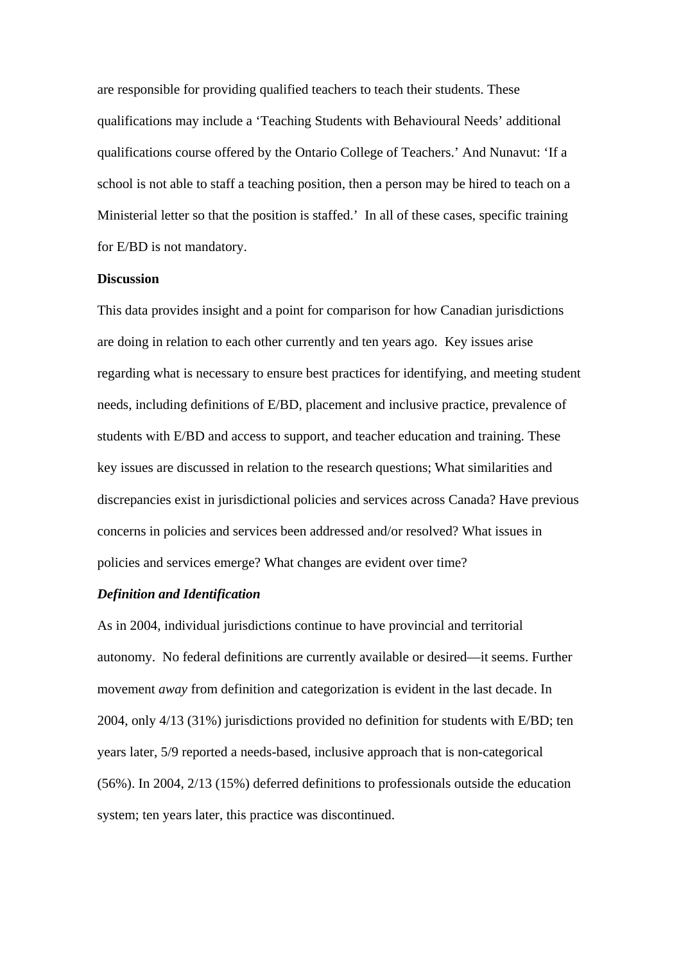are responsible for providing qualified teachers to teach their students. These qualifications may include a 'Teaching Students with Behavioural Needs' additional qualifications course offered by the Ontario College of Teachers.' And Nunavut: 'If a school is not able to staff a teaching position, then a person may be hired to teach on a Ministerial letter so that the position is staffed.' In all of these cases, specific training for E/BD is not mandatory.

#### **Discussion**

This data provides insight and a point for comparison for how Canadian jurisdictions are doing in relation to each other currently and ten years ago. Key issues arise regarding what is necessary to ensure best practices for identifying, and meeting student needs, including definitions of E/BD, placement and inclusive practice, prevalence of students with E/BD and access to support, and teacher education and training. These key issues are discussed in relation to the research questions; What similarities and discrepancies exist in jurisdictional policies and services across Canada? Have previous concerns in policies and services been addressed and/or resolved? What issues in policies and services emerge? What changes are evident over time?

### *Definition and Identification*

As in 2004, individual jurisdictions continue to have provincial and territorial autonomy. No federal definitions are currently available or desired—it seems. Further movement *away* from definition and categorization is evident in the last decade. In 2004, only 4/13 (31%) jurisdictions provided no definition for students with E/BD; ten years later, 5/9 reported a needs-based, inclusive approach that is non-categorical (56%). In 2004, 2/13 (15%) deferred definitions to professionals outside the education system; ten years later, this practice was discontinued.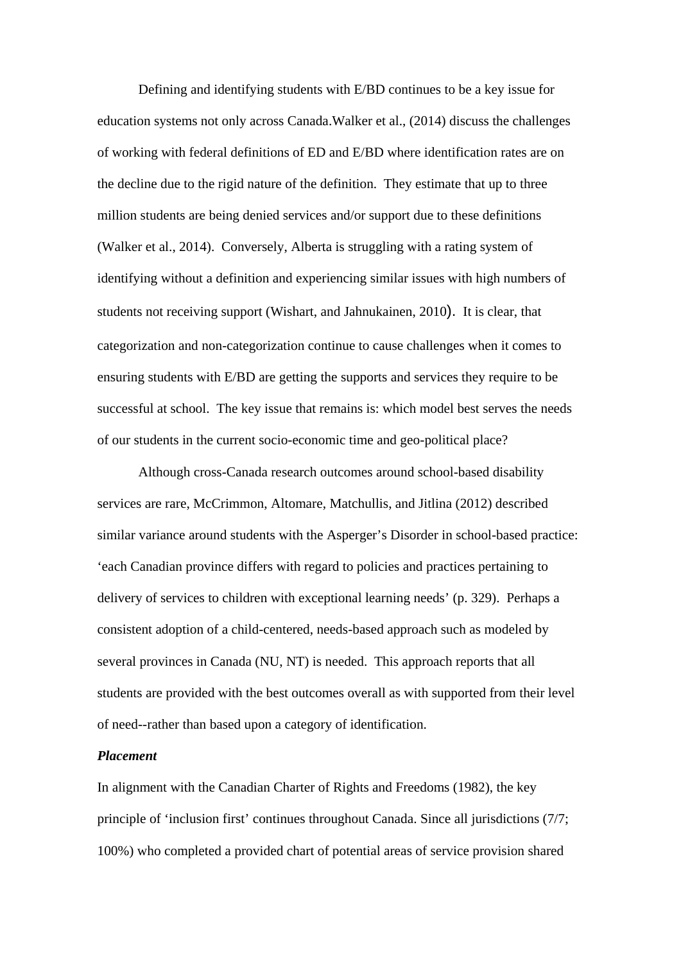Defining and identifying students with E/BD continues to be a key issue for education systems not only across Canada.Walker et al., (2014) discuss the challenges of working with federal definitions of ED and E/BD where identification rates are on the decline due to the rigid nature of the definition. They estimate that up to three million students are being denied services and/or support due to these definitions (Walker et al., 2014). Conversely, Alberta is struggling with a rating system of identifying without a definition and experiencing similar issues with high numbers of students not receiving support (Wishart, and Jahnukainen, 2010). It is clear, that categorization and non-categorization continue to cause challenges when it comes to ensuring students with E/BD are getting the supports and services they require to be successful at school. The key issue that remains is: which model best serves the needs of our students in the current socio-economic time and geo-political place?

Although cross-Canada research outcomes around school-based disability services are rare, McCrimmon, Altomare, Matchullis, and Jitlina (2012) described similar variance around students with the Asperger's Disorder in school-based practice: 'each Canadian province differs with regard to policies and practices pertaining to delivery of services to children with exceptional learning needs' (p. 329). Perhaps a consistent adoption of a child-centered, needs-based approach such as modeled by several provinces in Canada (NU, NT) is needed. This approach reports that all students are provided with the best outcomes overall as with supported from their level of need--rather than based upon a category of identification.

### *Placement*

In alignment with the Canadian Charter of Rights and Freedoms (1982), the key principle of 'inclusion first' continues throughout Canada. Since all jurisdictions (7/7; 100%) who completed a provided chart of potential areas of service provision shared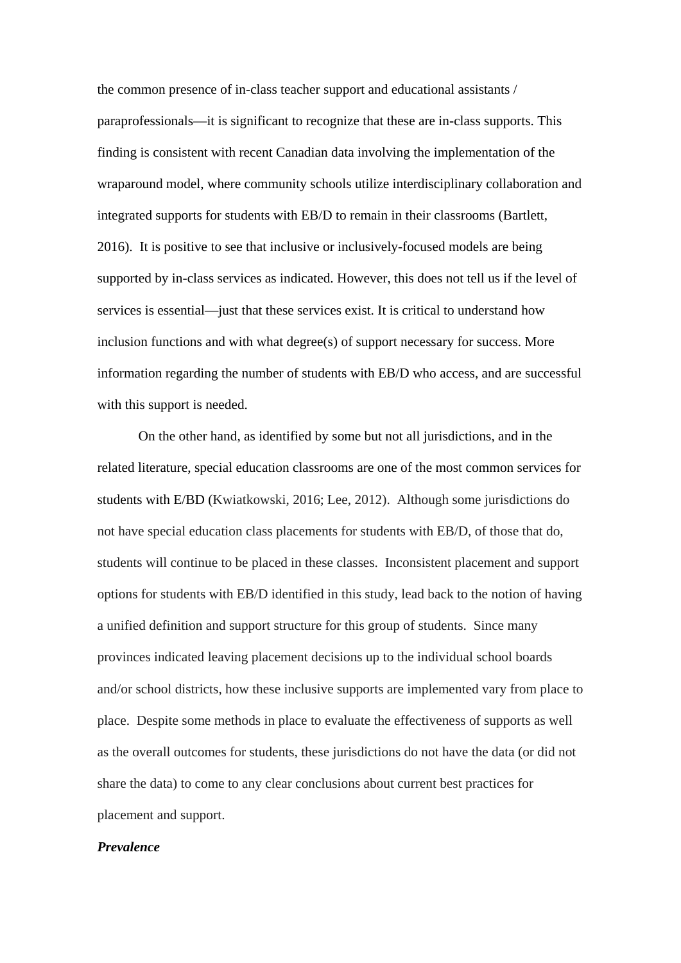the common presence of in-class teacher support and educational assistants / paraprofessionals—it is significant to recognize that these are in-class supports. This finding is consistent with recent Canadian data involving the implementation of the wraparound model, where community schools utilize interdisciplinary collaboration and integrated supports for students with EB/D to remain in their classrooms (Bartlett, 2016). It is positive to see that inclusive or inclusively-focused models are being supported by in-class services as indicated. However, this does not tell us if the level of services is essential—just that these services exist. It is critical to understand how inclusion functions and with what degree(s) of support necessary for success. More information regarding the number of students with EB/D who access, and are successful with this support is needed.

On the other hand, as identified by some but not all jurisdictions, and in the related literature, special education classrooms are one of the most common services for students with E/BD (Kwiatkowski, 2016; Lee, 2012). Although some jurisdictions do not have special education class placements for students with EB/D, of those that do, students will continue to be placed in these classes. Inconsistent placement and support options for students with EB/D identified in this study, lead back to the notion of having a unified definition and support structure for this group of students. Since many provinces indicated leaving placement decisions up to the individual school boards and/or school districts, how these inclusive supports are implemented vary from place to place. Despite some methods in place to evaluate the effectiveness of supports as well as the overall outcomes for students, these jurisdictions do not have the data (or did not share the data) to come to any clear conclusions about current best practices for placement and support.

### *Prevalence*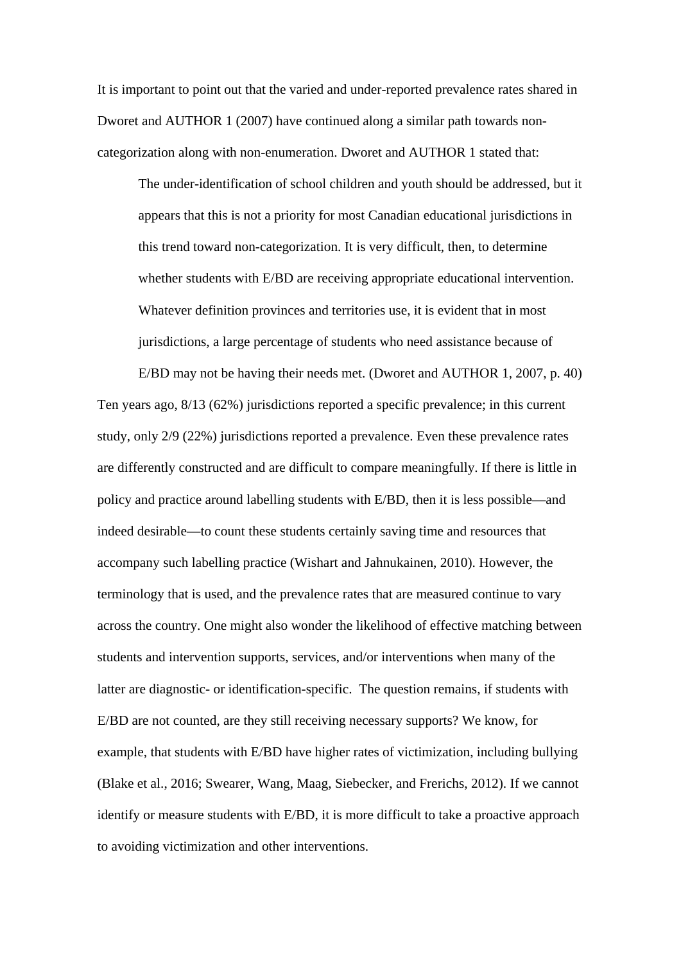It is important to point out that the varied and under-reported prevalence rates shared in Dworet and AUTHOR 1 (2007) have continued along a similar path towards noncategorization along with non-enumeration. Dworet and AUTHOR 1 stated that:

The under-identification of school children and youth should be addressed, but it appears that this is not a priority for most Canadian educational jurisdictions in this trend toward non-categorization. It is very difficult, then, to determine whether students with E/BD are receiving appropriate educational intervention. Whatever definition provinces and territories use, it is evident that in most jurisdictions, a large percentage of students who need assistance because of

E/BD may not be having their needs met. (Dworet and AUTHOR 1, 2007, p. 40) Ten years ago, 8/13 (62%) jurisdictions reported a specific prevalence; in this current study, only 2/9 (22%) jurisdictions reported a prevalence. Even these prevalence rates are differently constructed and are difficult to compare meaningfully. If there is little in policy and practice around labelling students with E/BD, then it is less possible—and indeed desirable—to count these students certainly saving time and resources that accompany such labelling practice (Wishart and Jahnukainen, 2010). However, the terminology that is used, and the prevalence rates that are measured continue to vary across the country. One might also wonder the likelihood of effective matching between students and intervention supports, services, and/or interventions when many of the latter are diagnostic- or identification-specific. The question remains, if students with E/BD are not counted, are they still receiving necessary supports? We know, for example, that students with E/BD have higher rates of victimization, including bullying (Blake et al., 2016; Swearer, Wang, Maag, Siebecker, and Frerichs, 2012). If we cannot identify or measure students with E/BD, it is more difficult to take a proactive approach to avoiding victimization and other interventions.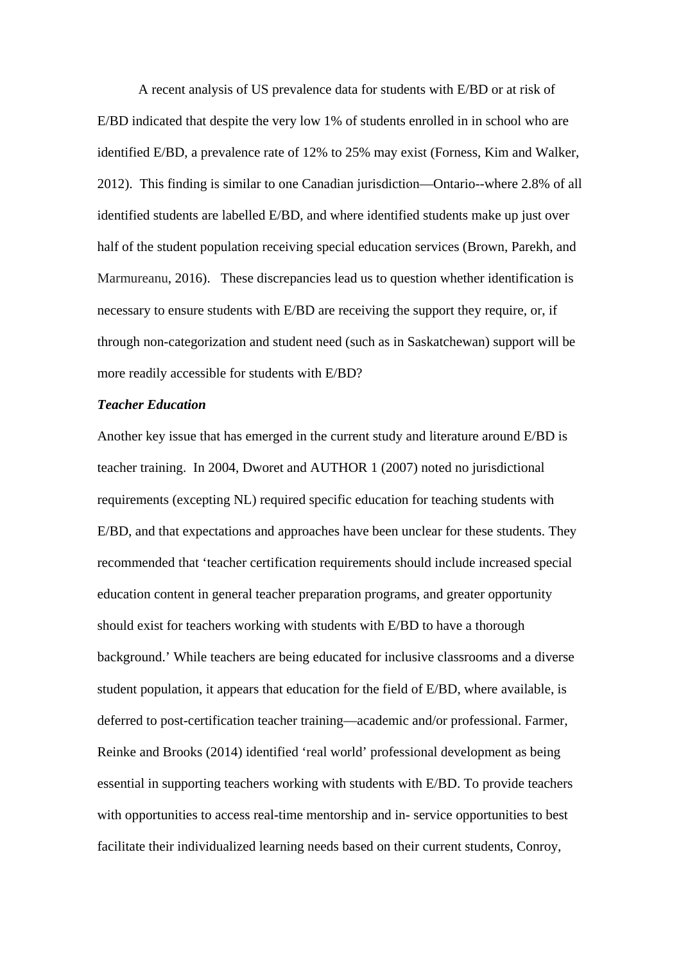A recent analysis of US prevalence data for students with E/BD or at risk of E/BD indicated that despite the very low 1% of students enrolled in in school who are identified E/BD, a prevalence rate of 12% to 25% may exist (Forness, Kim and Walker, 2012). This finding is similar to one Canadian jurisdiction—Ontario--where 2.8% of all identified students are labelled E/BD, and where identified students make up just over half of the student population receiving special education services (Brown, Parekh, and Marmureanu, 2016). These discrepancies lead us to question whether identification is necessary to ensure students with E/BD are receiving the support they require, or, if through non-categorization and student need (such as in Saskatchewan) support will be more readily accessible for students with E/BD?

#### *Teacher Education*

Another key issue that has emerged in the current study and literature around E/BD is teacher training. In 2004, Dworet and AUTHOR 1 (2007) noted no jurisdictional requirements (excepting NL) required specific education for teaching students with E/BD, and that expectations and approaches have been unclear for these students. They recommended that 'teacher certification requirements should include increased special education content in general teacher preparation programs, and greater opportunity should exist for teachers working with students with E/BD to have a thorough background.' While teachers are being educated for inclusive classrooms and a diverse student population, it appears that education for the field of E/BD, where available, is deferred to post-certification teacher training—academic and/or professional. Farmer, Reinke and Brooks (2014) identified 'real world' professional development as being essential in supporting teachers working with students with E/BD. To provide teachers with opportunities to access real-time mentorship and in-service opportunities to best facilitate their individualized learning needs based on their current students, Conroy,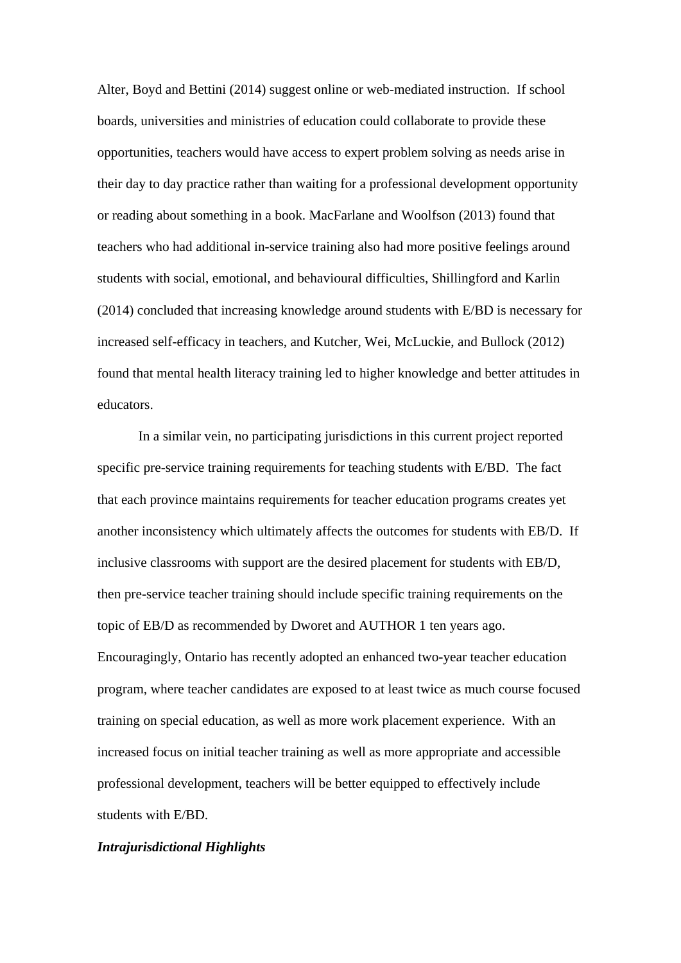Alter, Boyd and Bettini (2014) suggest online or web-mediated instruction. If school boards, universities and ministries of education could collaborate to provide these opportunities, teachers would have access to expert problem solving as needs arise in their day to day practice rather than waiting for a professional development opportunity or reading about something in a book. MacFarlane and Woolfson (2013) found that teachers who had additional in-service training also had more positive feelings around students with social, emotional, and behavioural difficulties, Shillingford and Karlin (2014) concluded that increasing knowledge around students with E/BD is necessary for increased self-efficacy in teachers, and Kutcher, Wei, McLuckie, and Bullock (2012) found that mental health literacy training led to higher knowledge and better attitudes in educators.

In a similar vein, no participating jurisdictions in this current project reported specific pre-service training requirements for teaching students with E/BD. The fact that each province maintains requirements for teacher education programs creates yet another inconsistency which ultimately affects the outcomes for students with EB/D. If inclusive classrooms with support are the desired placement for students with EB/D, then pre-service teacher training should include specific training requirements on the topic of EB/D as recommended by Dworet and AUTHOR 1 ten years ago. Encouragingly, Ontario has recently adopted an enhanced two-year teacher education program, where teacher candidates are exposed to at least twice as much course focused training on special education, as well as more work placement experience. With an increased focus on initial teacher training as well as more appropriate and accessible professional development, teachers will be better equipped to effectively include students with E/BD.

## *Intrajurisdictional Highlights*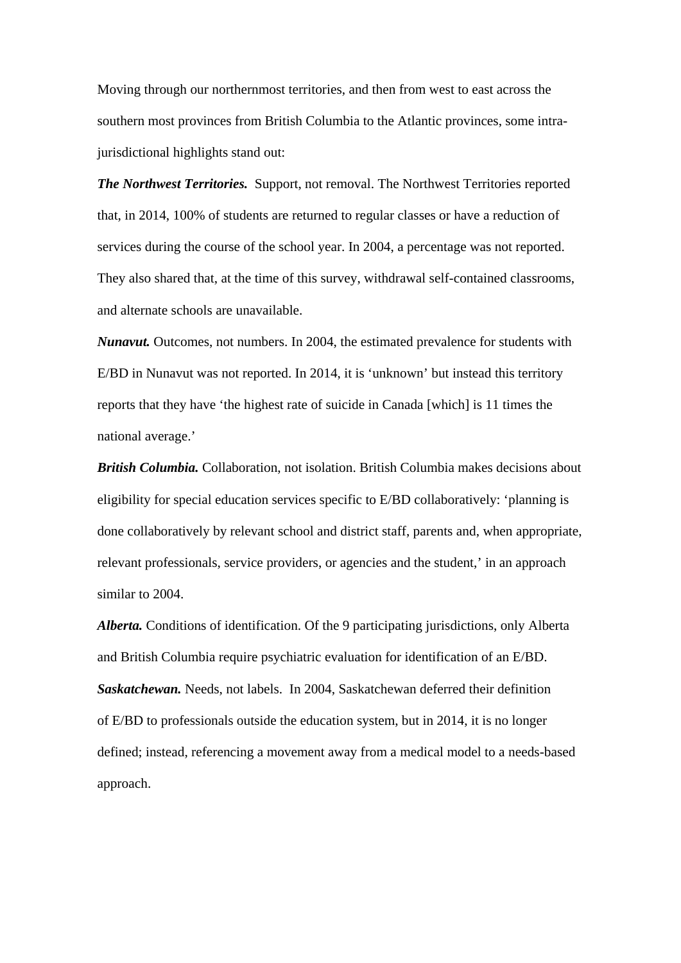Moving through our northernmost territories, and then from west to east across the southern most provinces from British Columbia to the Atlantic provinces, some intrajurisdictional highlights stand out:

*The Northwest Territories.* Support, not removal. The Northwest Territories reported that, in 2014, 100% of students are returned to regular classes or have a reduction of services during the course of the school year. In 2004, a percentage was not reported. They also shared that, at the time of this survey, withdrawal self-contained classrooms, and alternate schools are unavailable.

*Nunavut.* Outcomes, not numbers. In 2004, the estimated prevalence for students with E/BD in Nunavut was not reported. In 2014, it is 'unknown' but instead this territory reports that they have 'the highest rate of suicide in Canada [which] is 11 times the national average.'

*British Columbia.* Collaboration, not isolation. British Columbia makes decisions about eligibility for special education services specific to E/BD collaboratively: 'planning is done collaboratively by relevant school and district staff, parents and, when appropriate, relevant professionals, service providers, or agencies and the student,' in an approach similar to 2004.

*Alberta.* Conditions of identification. Of the 9 participating jurisdictions, only Alberta and British Columbia require psychiatric evaluation for identification of an E/BD. *Saskatchewan.* Needs, not labels. In 2004, Saskatchewan deferred their definition of E/BD to professionals outside the education system, but in 2014, it is no longer defined; instead, referencing a movement away from a medical model to a needs-based approach.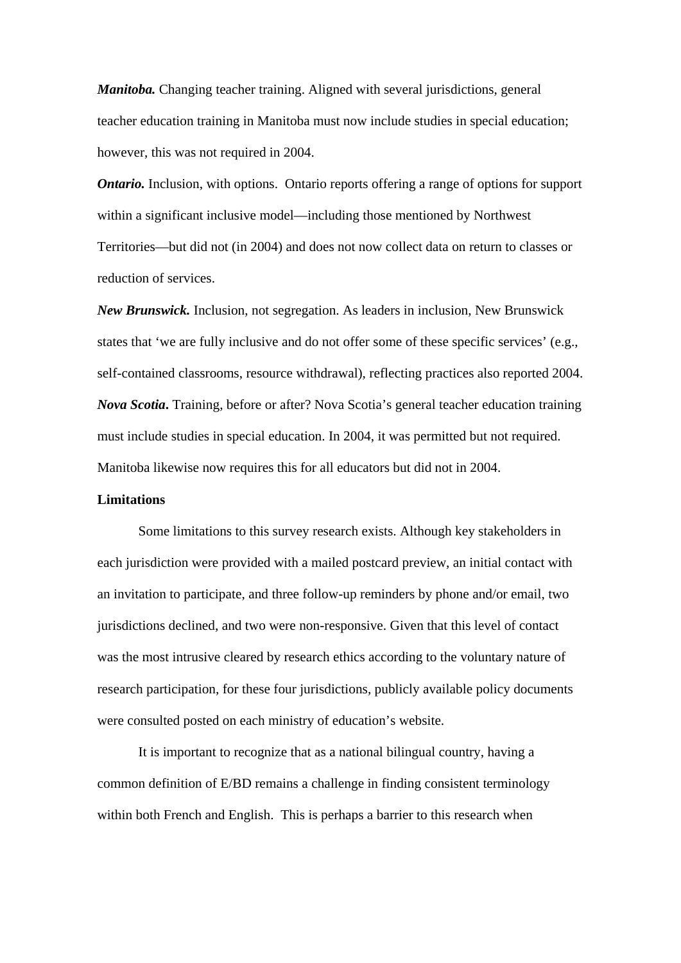*Manitoba.* Changing teacher training. Aligned with several jurisdictions, general teacher education training in Manitoba must now include studies in special education; however, this was not required in 2004.

*Ontario.* Inclusion, with options. Ontario reports offering a range of options for support within a significant inclusive model—including those mentioned by Northwest Territories—but did not (in 2004) and does not now collect data on return to classes or reduction of services.

*New Brunswick.* Inclusion, not segregation. As leaders in inclusion, New Brunswick states that 'we are fully inclusive and do not offer some of these specific services' (e.g., self-contained classrooms, resource withdrawal), reflecting practices also reported 2004. *Nova Scotia***.** Training, before or after? Nova Scotia's general teacher education training must include studies in special education. In 2004, it was permitted but not required. Manitoba likewise now requires this for all educators but did not in 2004.

### **Limitations**

Some limitations to this survey research exists. Although key stakeholders in each jurisdiction were provided with a mailed postcard preview, an initial contact with an invitation to participate, and three follow-up reminders by phone and/or email, two jurisdictions declined, and two were non-responsive. Given that this level of contact was the most intrusive cleared by research ethics according to the voluntary nature of research participation, for these four jurisdictions, publicly available policy documents were consulted posted on each ministry of education's website.

It is important to recognize that as a national bilingual country, having a common definition of E/BD remains a challenge in finding consistent terminology within both French and English. This is perhaps a barrier to this research when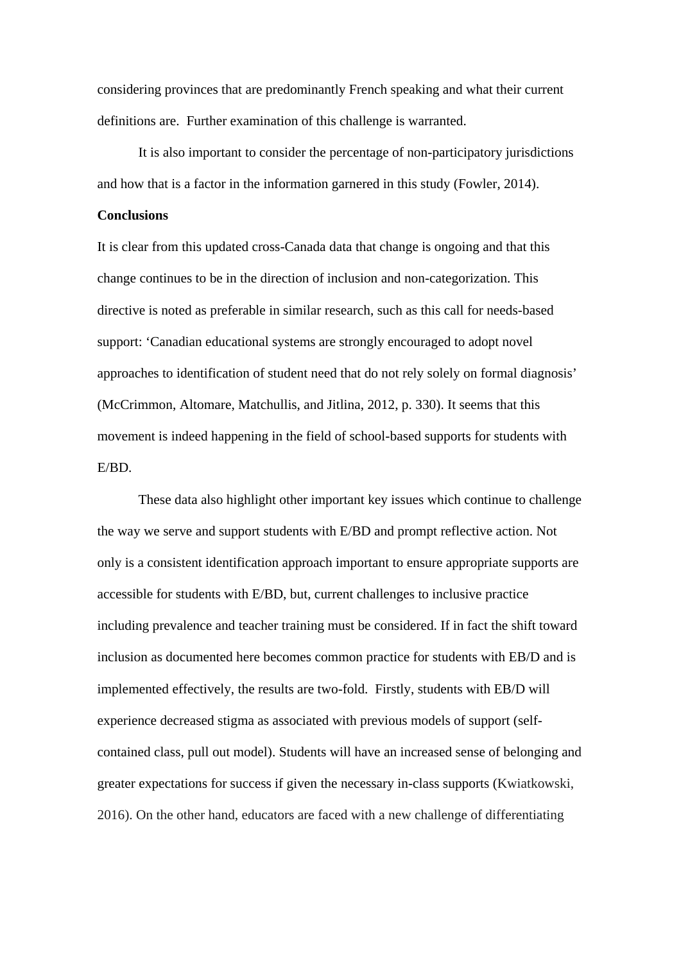considering provinces that are predominantly French speaking and what their current definitions are. Further examination of this challenge is warranted.

It is also important to consider the percentage of non-participatory jurisdictions and how that is a factor in the information garnered in this study (Fowler, 2014).

#### **Conclusions**

It is clear from this updated cross-Canada data that change is ongoing and that this change continues to be in the direction of inclusion and non-categorization. This directive is noted as preferable in similar research, such as this call for needs-based support: 'Canadian educational systems are strongly encouraged to adopt novel approaches to identification of student need that do not rely solely on formal diagnosis' (McCrimmon, Altomare, Matchullis, and Jitlina, 2012, p. 330). It seems that this movement is indeed happening in the field of school-based supports for students with E/BD.

These data also highlight other important key issues which continue to challenge the way we serve and support students with E/BD and prompt reflective action. Not only is a consistent identification approach important to ensure appropriate supports are accessible for students with E/BD, but, current challenges to inclusive practice including prevalence and teacher training must be considered. If in fact the shift toward inclusion as documented here becomes common practice for students with EB/D and is implemented effectively, the results are two-fold. Firstly, students with EB/D will experience decreased stigma as associated with previous models of support (selfcontained class, pull out model). Students will have an increased sense of belonging and greater expectations for success if given the necessary in-class supports (Kwiatkowski, 2016). On the other hand, educators are faced with a new challenge of differentiating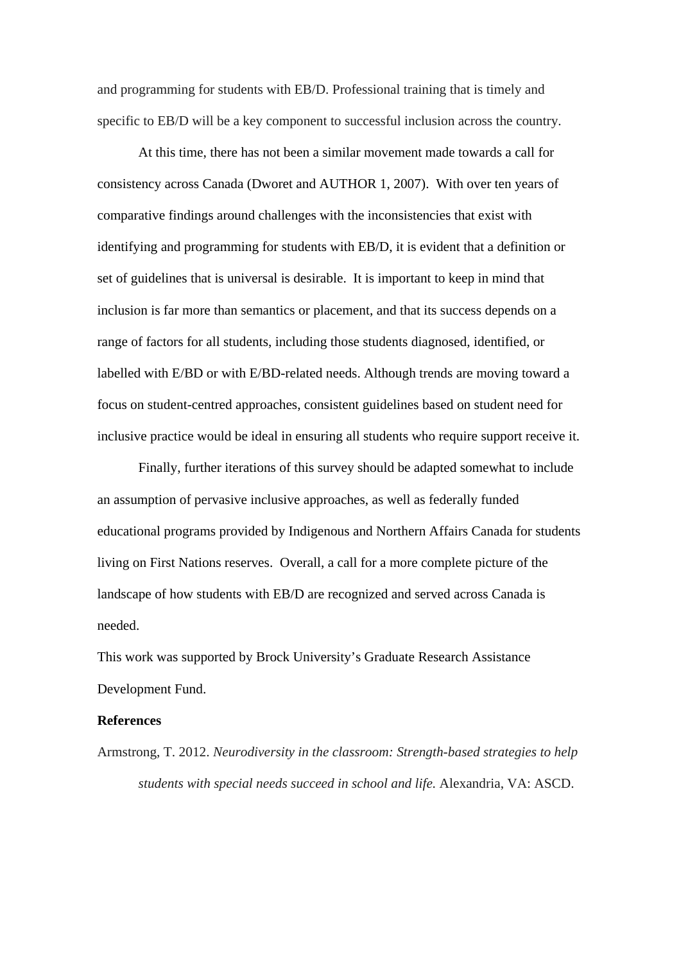and programming for students with EB/D. Professional training that is timely and specific to EB/D will be a key component to successful inclusion across the country.

At this time, there has not been a similar movement made towards a call for consistency across Canada (Dworet and AUTHOR 1, 2007). With over ten years of comparative findings around challenges with the inconsistencies that exist with identifying and programming for students with EB/D, it is evident that a definition or set of guidelines that is universal is desirable. It is important to keep in mind that inclusion is far more than semantics or placement, and that its success depends on a range of factors for all students, including those students diagnosed, identified, or labelled with E/BD or with E/BD-related needs. Although trends are moving toward a focus on student-centred approaches, consistent guidelines based on student need for inclusive practice would be ideal in ensuring all students who require support receive it.

Finally, further iterations of this survey should be adapted somewhat to include an assumption of pervasive inclusive approaches, as well as federally funded educational programs provided by Indigenous and Northern Affairs Canada for students living on First Nations reserves. Overall, a call for a more complete picture of the landscape of how students with EB/D are recognized and served across Canada is needed.

This work was supported by Brock University's Graduate Research Assistance Development Fund.

# **References**

Armstrong, T. 2012. *Neurodiversity in the classroom: Strength-based strategies to help students with special needs succeed in school and life.* Alexandria, VA: ASCD.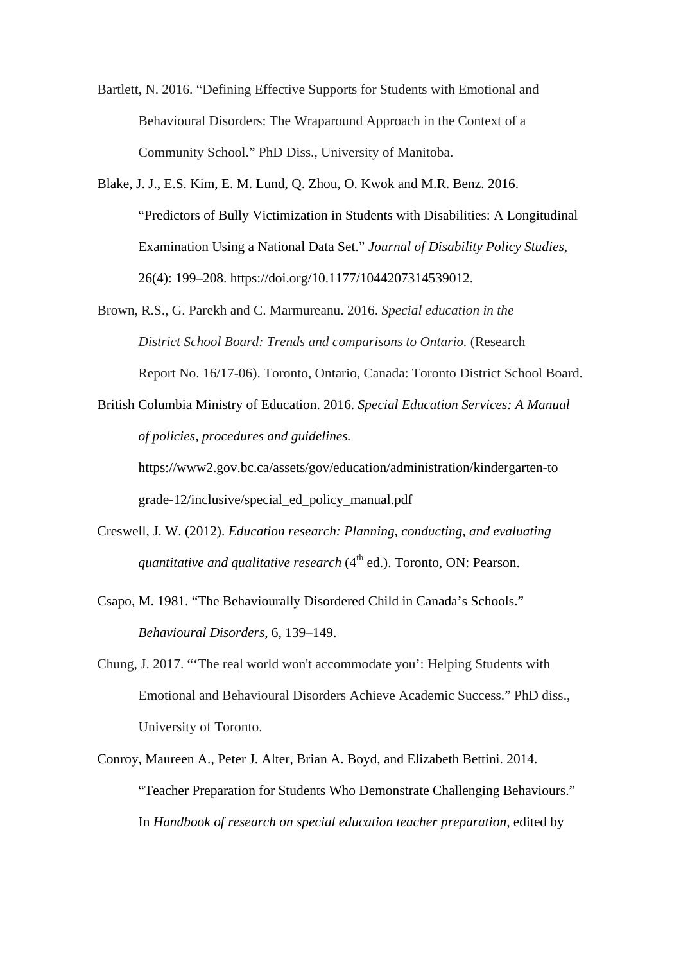Bartlett, N. 2016. "Defining Effective Supports for Students with Emotional and Behavioural Disorders: The Wraparound Approach in the Context of a Community School." PhD Diss., University of Manitoba.

- Blake, J. J., E.S. Kim, E. M. Lund, Q. Zhou, O. Kwok and M.R. Benz. 2016. "Predictors of Bully Victimization in Students with Disabilities: A Longitudinal Examination Using a National Data Set." *Journal of Disability Policy Studies*, 26(4): 199–208. https://doi.org/10.1177/1044207314539012.
- Brown, R.S., G. Parekh and C. Marmureanu. 2016. *Special education in the District School Board: Trends and comparisons to Ontario.* (Research Report No. 16/17-06). Toronto, Ontario, Canada: Toronto District School Board.
- British Columbia Ministry of Education. 2016. *Special Education Services: A Manual of policies, procedures and guidelines.*

https://www2.gov.bc.ca/assets/gov/education/administration/kindergarten-to grade-12/inclusive/special\_ed\_policy\_manual.pdf

- Creswell, J. W. (2012). *Education research: Planning, conducting, and evaluating quantitative and qualitative research*  $(4<sup>th</sup>$  ed.). Toronto, ON: Pearson.
- Csapo, M. 1981. "The Behaviourally Disordered Child in Canada's Schools." *Behavioural Disorders*, 6, 139–149.
- Chung, J. 2017. "'The real world won't accommodate you': Helping Students with Emotional and Behavioural Disorders Achieve Academic Success." PhD diss., University of Toronto.
- Conroy, Maureen A., Peter J. Alter, Brian A. Boyd, and Elizabeth Bettini. 2014. "Teacher Preparation for Students Who Demonstrate Challenging Behaviours." In *Handbook of research on special education teacher preparation,* edited by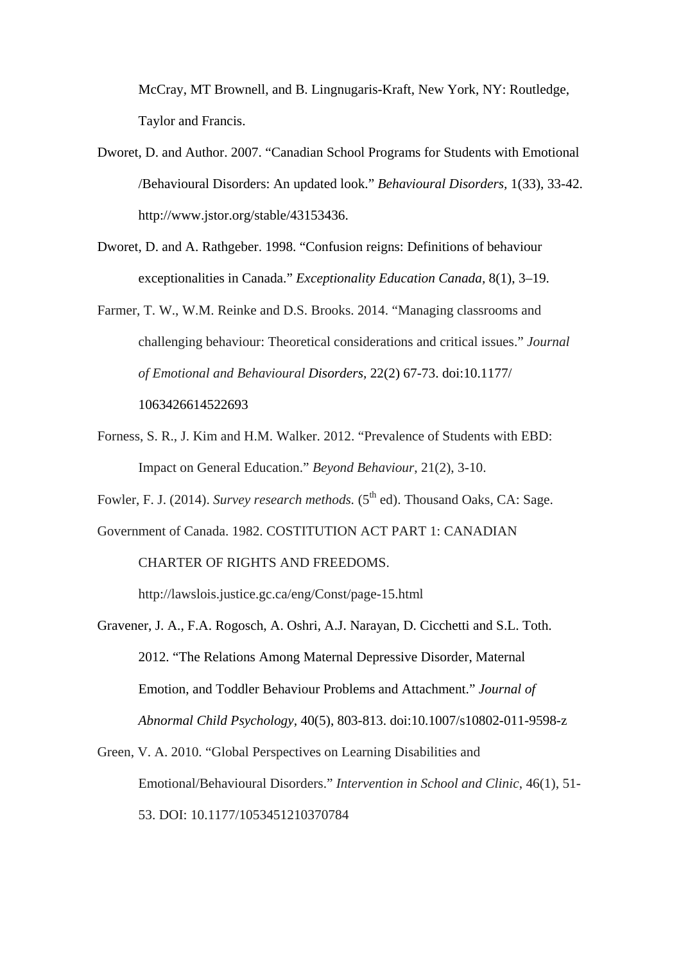McCray, MT Brownell, and B. Lingnugaris-Kraft, New York, NY: Routledge, Taylor and Francis.

- Dworet, D. and Author. 2007. "Canadian School Programs for Students with Emotional /Behavioural Disorders: An updated look." *Behavioural Disorders,* 1(33), 33-42. http://www.jstor.org/stable/43153436.
- Dworet, D. and A. Rathgeber. 1998. "Confusion reigns: Definitions of behaviour exceptionalities in Canada." *Exceptionality Education Canada,* 8(1), 3–19.
- Farmer, T. W., W.M. Reinke and D.S. Brooks. 2014. "Managing classrooms and challenging behaviour: Theoretical considerations and critical issues." *Journal of Emotional and Behavioural Disorders,* 22(2) 67-73. doi:10.1177/ 1063426614522693
- Forness, S. R., J. Kim and H.M. Walker. 2012. "Prevalence of Students with EBD: Impact on General Education." *Beyond Behaviour*, 21(2), 3-10.

Fowler, F. J. (2014). *Survey research methods.* (5<sup>th</sup> ed). Thousand Oaks, CA: Sage.

Government of Canada. 1982. COSTITUTION ACT PART 1: CANADIAN

CHARTER OF RIGHTS AND FREEDOMS.

http://lawslois.justice.gc.ca/eng/Const/page-15.html

- Gravener, J. A., F.A. Rogosch, A. Oshri, A.J. Narayan, D. Cicchetti and S.L. Toth. 2012. "The Relations Among Maternal Depressive Disorder, Maternal Emotion, and Toddler Behaviour Problems and Attachment." *Journal of Abnormal Child Psychology,* 40(5), 803-813. doi:10.1007/s10802-011-9598-z
- Green, V. A. 2010. "Global Perspectives on Learning Disabilities and Emotional/Behavioural Disorders." *Intervention in School and Clinic*, 46(1), 51- 53. DOI: 10.1177/1053451210370784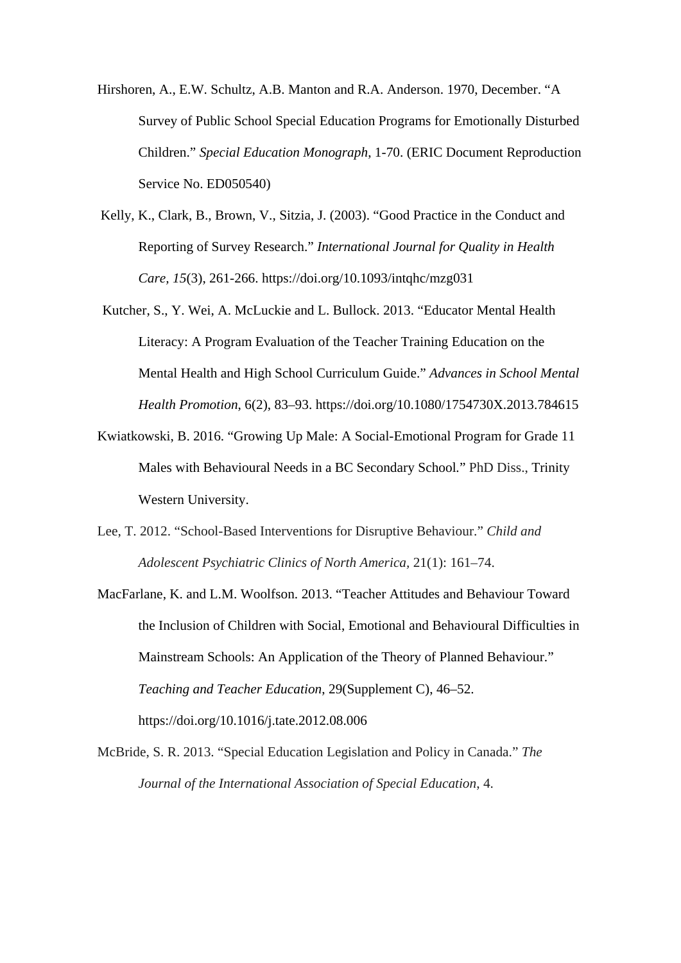- Hirshoren, A., E.W. Schultz, A.B. Manton and R.A. Anderson. 1970, December. "A Survey of Public School Special Education Programs for Emotionally Disturbed Children." *Special Education Monograph*, 1-70. (ERIC Document Reproduction Service No. ED050540)
- Kelly, K., Clark, B., Brown, V., Sitzia, J. (2003). "Good Practice in the Conduct and Reporting of Survey Research." *International Journal for Quality in Health Care, 15*(3), 261-266. https://doi.org/10.1093/intqhc/mzg031
- Kutcher, S., Y. Wei, A. McLuckie and L. Bullock. 2013. "Educator Mental Health Literacy: A Program Evaluation of the Teacher Training Education on the Mental Health and High School Curriculum Guide." *Advances in School Mental Health Promotion*, 6(2), 83–93. https://doi.org/10.1080/1754730X.2013.784615
- Kwiatkowski, B. 2016. "Growing Up Male: A Social-Emotional Program for Grade 11 Males with Behavioural Needs in a BC Secondary School*.*" PhD Diss., Trinity Western University.
- Lee, T. 2012. "School-Based Interventions for Disruptive Behaviour." *Child and Adolescent Psychiatric Clinics of North America,* 21(1): 161–74.
- MacFarlane, K. and L.M. Woolfson. 2013. "Teacher Attitudes and Behaviour Toward the Inclusion of Children with Social, Emotional and Behavioural Difficulties in Mainstream Schools: An Application of the Theory of Planned Behaviour." *Teaching and Teacher Education*, 29(Supplement C), 46–52. https://doi.org/10.1016/j.tate.2012.08.006
- McBride, S. R. 2013. "Special Education Legislation and Policy in Canada." *The Journal of the International Association of Special Education*, 4.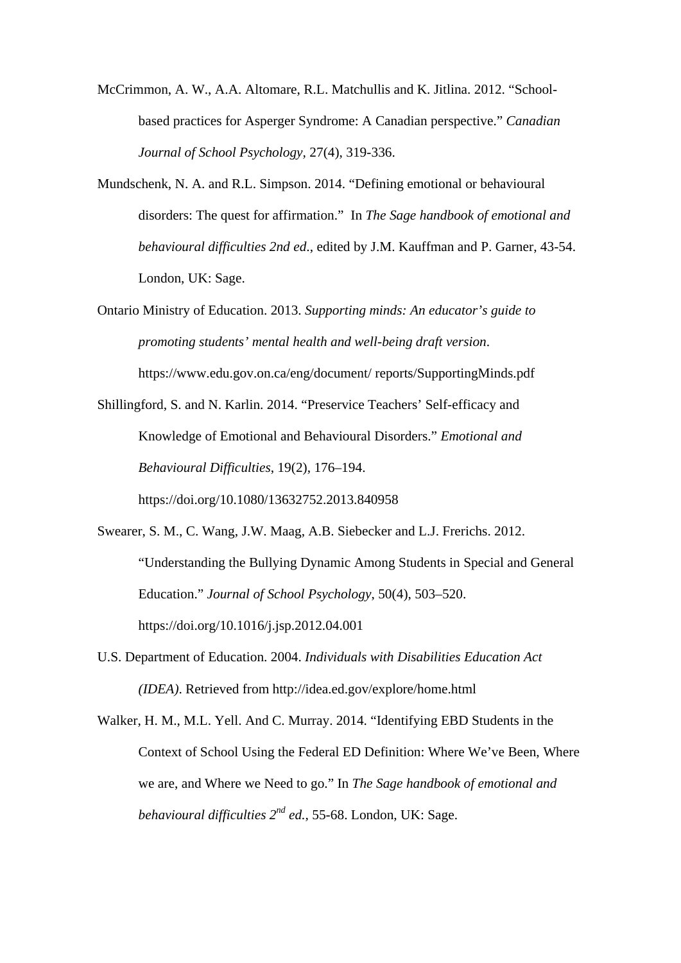- McCrimmon, A. W., A.A. Altomare, R.L. Matchullis and K. Jitlina. 2012. "Schoolbased practices for Asperger Syndrome: A Canadian perspective." *Canadian Journal of School Psychology,* 27(4), 319-336.
- Mundschenk, N. A. and R.L. Simpson. 2014. "Defining emotional or behavioural disorders: The quest for affirmation." In *The Sage handbook of emotional and behavioural difficulties 2nd ed*., edited by J.M. Kauffman and P. Garner, 43-54. London, UK: Sage.
- Ontario Ministry of Education. 2013. *Supporting minds: An educator's guide to promoting students' mental health and well-being draft version*.

https://www.edu.gov.on.ca/eng/document/ reports/SupportingMinds.pdf

- Shillingford, S. and N. Karlin. 2014. "Preservice Teachers' Self-efficacy and Knowledge of Emotional and Behavioural Disorders." *Emotional and Behavioural Difficulties*, 19(2), 176–194. https://doi.org/10.1080/13632752.2013.840958
- Swearer, S. M., C. Wang, J.W. Maag, A.B. Siebecker and L.J. Frerichs. 2012. "Understanding the Bullying Dynamic Among Students in Special and General Education." *Journal of School Psychology*, 50(4), 503–520. https://doi.org/10.1016/j.jsp.2012.04.001
- U.S. Department of Education. 2004. *Individuals with Disabilities Education Act (IDEA)*. Retrieved from http://idea.ed.gov/explore/home.html
- Walker, H. M., M.L. Yell. And C. Murray. 2014. "Identifying EBD Students in the Context of School Using the Federal ED Definition: Where We've Been, Where we are, and Where we Need to go." In *The Sage handbook of emotional and behavioural difficulties 2nd ed.,* 55-68. London, UK: Sage.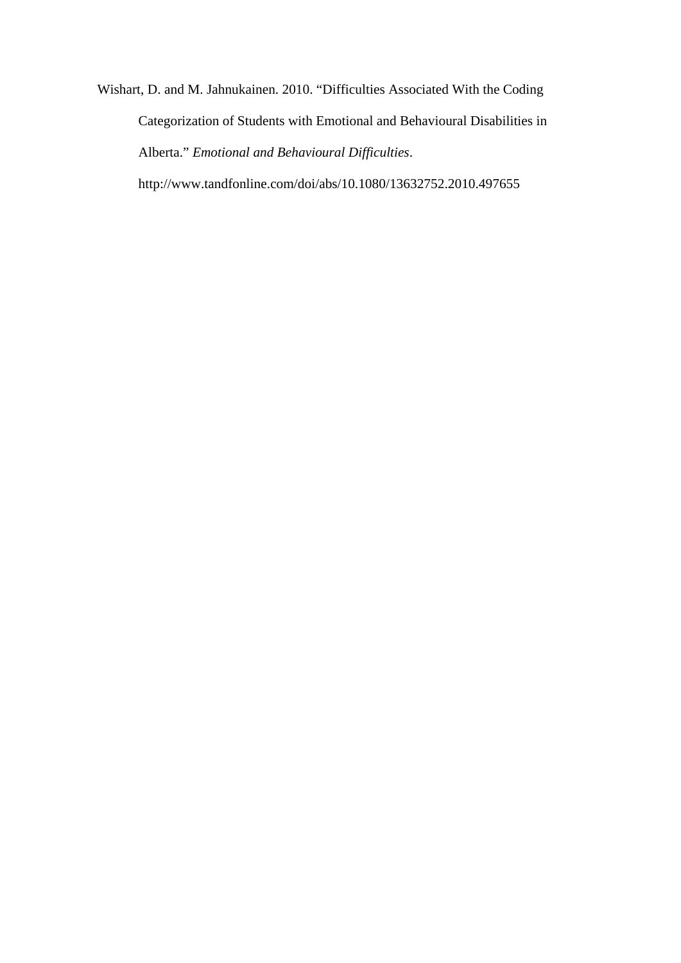Wishart, D. and M. Jahnukainen. 2010. "Difficulties Associated With the Coding Categorization of Students with Emotional and Behavioural Disabilities in Alberta." *Emotional and Behavioural Difficulties*.

http://www.tandfonline.com/doi/abs/10.1080/13632752.2010.497655